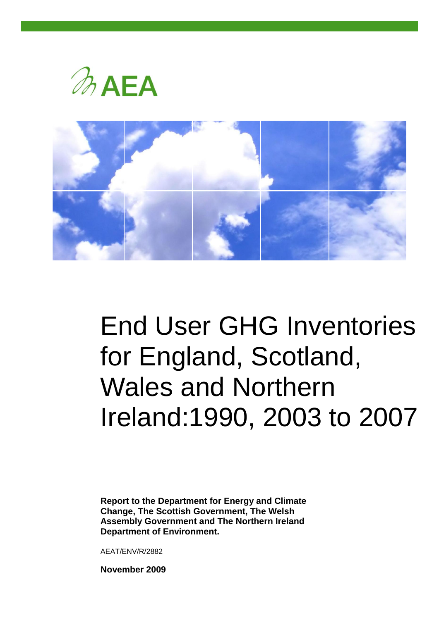



# End User GHG Inventories for England, Scotland, Wales and Northern Ireland:1990, 2003 to 2007

**Report to the Department for Energy and Climate Change, The Scottish Government, The Welsh Assembly Government and The Northern Ireland Department of Environment.**

AEAT/ENV/R/2882

**November 2009**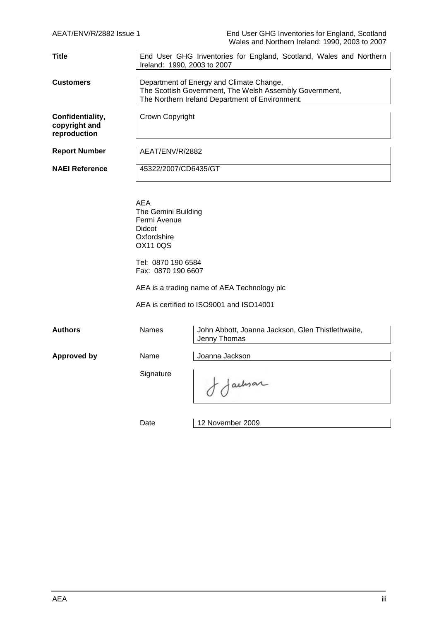| AEAT/ENV/R/2882 Issue 1                           |                                                                                                                                                        | End User GHG Inventories for England, Scotland<br>Wales and Northern Ireland: 1990, 2003 to 2007 |  |
|---------------------------------------------------|--------------------------------------------------------------------------------------------------------------------------------------------------------|--------------------------------------------------------------------------------------------------|--|
| <b>Title</b>                                      | End User GHG Inventories for England, Scotland, Wales and Northern<br>Ireland: 1990, 2003 to 2007                                                      |                                                                                                  |  |
| <b>Customers</b>                                  | Department of Energy and Climate Change,<br>The Scottish Government, The Welsh Assembly Government,<br>The Northern Ireland Department of Environment. |                                                                                                  |  |
| Confidentiality,<br>copyright and<br>reproduction | Crown Copyright                                                                                                                                        |                                                                                                  |  |
| <b>Report Number</b>                              | AEAT/ENV/R/2882                                                                                                                                        |                                                                                                  |  |
| <b>NAEI Reference</b>                             | 45322/2007/CD6435/GT                                                                                                                                   |                                                                                                  |  |
|                                                   |                                                                                                                                                        |                                                                                                  |  |
|                                                   | <b>AEA</b><br>The Gemini Building<br>Fermi Avenue<br>Didcot<br>Oxfordshire<br><b>OX11 0QS</b>                                                          |                                                                                                  |  |
|                                                   | Tel: 0870 190 6584<br>Fax: 0870 190 6607                                                                                                               |                                                                                                  |  |
|                                                   |                                                                                                                                                        | AEA is a trading name of AEA Technology plc                                                      |  |
|                                                   |                                                                                                                                                        | AEA is certified to ISO9001 and ISO14001                                                         |  |
| <b>Authors</b>                                    | Names                                                                                                                                                  | John Abbott, Joanna Jackson, Glen Thistlethwaite,<br>Jenny Thomas                                |  |
| <b>Approved by</b>                                | Name                                                                                                                                                   | Joanna Jackson                                                                                   |  |
|                                                   | Signature                                                                                                                                              | achiar                                                                                           |  |
|                                                   | Date                                                                                                                                                   | 12 November 2009                                                                                 |  |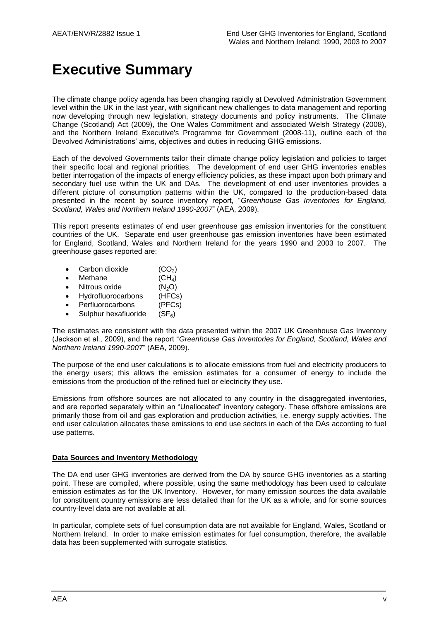# **Executive Summary**

The climate change policy agenda has been changing rapidly at Devolved Administration Government level within the UK in the last year, with significant new challenges to data management and reporting now developing through new legislation, strategy documents and policy instruments. The Climate Change (Scotland) Act (2009), the One Wales Commitment and associated Welsh Strategy (2008), and the Northern Ireland Executive's Programme for Government (2008-11), outline each of the Devolved Administrations' aims, objectives and duties in reducing GHG emissions.

Each of the devolved Governments tailor their climate change policy legislation and policies to target their specific local and regional priorities. The development of end user GHG inventories enables better interrogation of the impacts of energy efficiency policies, as these impact upon both primary and secondary fuel use within the UK and DAs. The development of end user inventories provides a different picture of consumption patterns within the UK, compared to the production-based data presented in the recent by source inventory report, "*Greenhouse Gas Inventories for England, Scotland, Wales and Northern Ireland 1990-2007*" (AEA, 2009).

This report presents estimates of end user greenhouse gas emission inventories for the constituent countries of the UK. Separate end user greenhouse gas emission inventories have been estimated for England, Scotland, Wales and Northern Ireland for the years 1990 and 2003 to 2007. The greenhouse gases reported are:

- Carbon dioxide  $(CO_2)$ <br>• Methane  $(CH_4)$
- $\bullet$  Methane
- Nitrous oxide  $(N_2O)$
- Hydrofluorocarbons (HFCs)
- Perfluorocarbons (PFCs)
- Sulphur hexafluoride  $(SF_6)$

The estimates are consistent with the data presented within the 2007 UK Greenhouse Gas Inventory (Jackson et al., 2009), and the report "*Greenhouse Gas Inventories for England, Scotland, Wales and Northern Ireland 1990-2007*" (AEA, 2009).

The purpose of the end user calculations is to allocate emissions from fuel and electricity producers to the energy users; this allows the emission estimates for a consumer of energy to include the emissions from the production of the refined fuel or electricity they use.

Emissions from offshore sources are not allocated to any country in the disaggregated inventories, and are reported separately within an "Unallocated" inventory category. These offshore emissions are primarily those from oil and gas exploration and production activities, i.e. energy supply activities. The end user calculation allocates these emissions to end use sectors in each of the DAs according to fuel use patterns.

#### **Data Sources and Inventory Methodology**

The DA end user GHG inventories are derived from the DA by source GHG inventories as a starting point. These are compiled, where possible, using the same methodology has been used to calculate emission estimates as for the UK Inventory. However, for many emission sources the data available for constituent country emissions are less detailed than for the UK as a whole, and for some sources country-level data are not available at all.

In particular, complete sets of fuel consumption data are not available for England, Wales, Scotland or Northern Ireland. In order to make emission estimates for fuel consumption, therefore, the available data has been supplemented with surrogate statistics.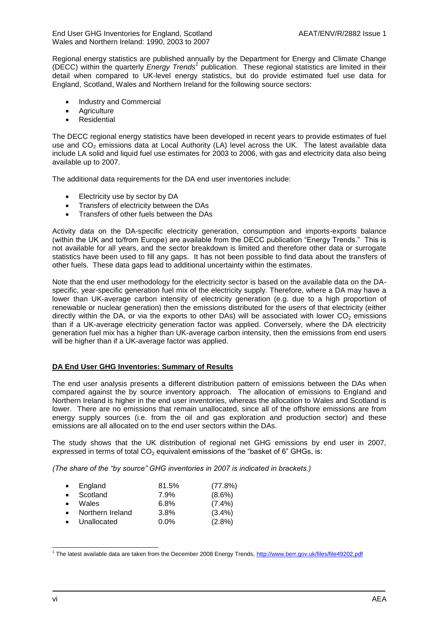End User GHG Inventories for England, Scotland AEAT/ENV/R/2882 Issue 1 Wales and Northern Ireland: 1990, 2003 to 2007

Regional energy statistics are published annually by the Department for Energy and Climate Change (DECC) within the quarterly *Energy Trends<sup>1</sup>* publication. These regional statistics are limited in their detail when compared to UK-level energy statistics, but do provide estimated fuel use data for England, Scotland, Wales and Northern Ireland for the following source sectors:

- Industry and Commercial
- **Agriculture**
- Residential

The DECC regional energy statistics have been developed in recent years to provide estimates of fuel use and  $CO<sub>2</sub>$  emissions data at Local Authority (LA) level across the UK. The latest available data include LA solid and liquid fuel use estimates for 2003 to 2006, with gas and electricity data also being available up to 2007.

The additional data requirements for the DA end user inventories include:

- Electricity use by sector by DA
- Transfers of electricity between the DAs
- Transfers of other fuels between the DAs

Activity data on the DA-specific electricity generation, consumption and imports-exports balance (within the UK and to/from Europe) are available from the DECC publication "Energy Trends." This is not available for all years, and the sector breakdown is limited and therefore other data or surrogate statistics have been used to fill any gaps. It has not been possible to find data about the transfers of other fuels. These data gaps lead to additional uncertainty within the estimates.

Note that the end user methodology for the electricity sector is based on the available data on the DAspecific, year-specific generation fuel mix of the electricity supply. Therefore, where a DA may have a lower than UK-average carbon intensity of electricity generation (e.g. due to a high proportion of renewable or nuclear generation) then the emissions distributed for the users of that electricity (either directly within the DA, or via the exports to other DAs) will be associated with lower  $CO<sub>2</sub>$  emissions than if a UK-average electricity generation factor was applied. Conversely, where the DA electricity generation fuel mix has a higher than UK-average carbon intensity, then the emissions from end users will be higher than if a UK-average factor was applied.

#### **DA End User GHG Inventories: Summary of Results**

The end user analysis presents a different distribution pattern of emissions between the DAs when compared against the by source inventory approach. The allocation of emissions to England and Northern Ireland is higher in the end user inventories, whereas the allocation to Wales and Scotland is lower. There are no emissions that remain unallocated, since all of the offshore emissions are from energy supply sources (i.e. from the oil and gas exploration and production sector) and these emissions are all allocated on to the end user sectors within the DAs.

The study shows that the UK distribution of regional net GHG emissions by end user in 2007, expressed in terms of total  $CO<sub>2</sub>$  equivalent emissions of the "basket of 6" GHGs, is:

*(The share of the "by source" GHG inventories in 2007 is indicated in brackets.)*

| $\bullet$ | England          | 81.5%   | (77.8%)   |
|-----------|------------------|---------|-----------|
| $\bullet$ | Scotland         | 7.9%    | $(8.6\%)$ |
| $\bullet$ | Wales            | 6.8%    | $(7.4\%)$ |
|           | Northern Ireland | 3.8%    | $(3.4\%)$ |
|           | Unallocated      | $0.0\%$ | $(2.8\%)$ |

<sup>1&</sup>lt;br>The latest available data are taken from the December 2008 Energy Trends,<http://www.berr.gov.uk/files/file49202.pdf>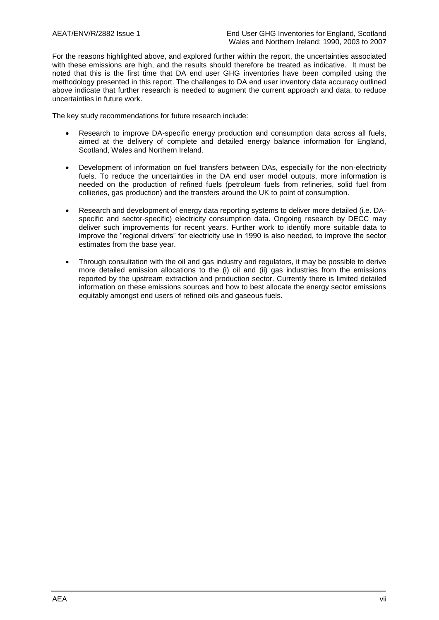For the reasons highlighted above, and explored further within the report, the uncertainties associated with these emissions are high, and the results should therefore be treated as indicative. It must be noted that this is the first time that DA end user GHG inventories have been compiled using the methodology presented in this report. The challenges to DA end user inventory data accuracy outlined above indicate that further research is needed to augment the current approach and data, to reduce uncertainties in future work.

The key study recommendations for future research include:

- Research to improve DA-specific energy production and consumption data across all fuels, aimed at the delivery of complete and detailed energy balance information for England, Scotland, Wales and Northern Ireland.
- Development of information on fuel transfers between DAs, especially for the non-electricity fuels. To reduce the uncertainties in the DA end user model outputs, more information is needed on the production of refined fuels (petroleum fuels from refineries, solid fuel from collieries, gas production) and the transfers around the UK to point of consumption.
- Research and development of energy data reporting systems to deliver more detailed (i.e. DAspecific and sector-specific) electricity consumption data. Ongoing research by DECC may deliver such improvements for recent years. Further work to identify more suitable data to improve the "regional drivers" for electricity use in 1990 is also needed, to improve the sector estimates from the base year.
- Through consultation with the oil and gas industry and regulators, it may be possible to derive more detailed emission allocations to the (i) oil and (ii) gas industries from the emissions reported by the upstream extraction and production sector. Currently there is limited detailed information on these emissions sources and how to best allocate the energy sector emissions equitably amongst end users of refined oils and gaseous fuels.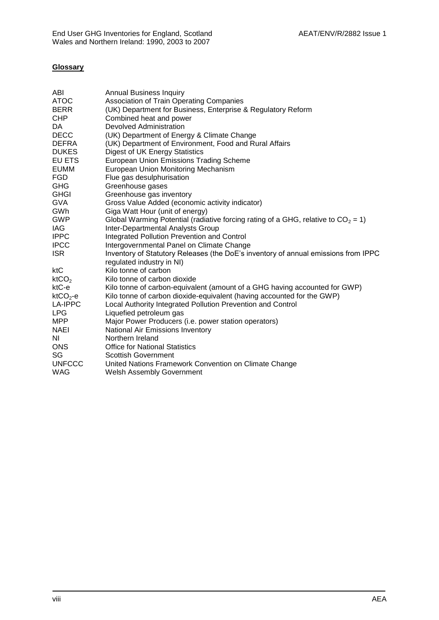### **Glossary**

| <b>Annual Business Inquiry</b>                                                                                  |
|-----------------------------------------------------------------------------------------------------------------|
| <b>Association of Train Operating Companies</b>                                                                 |
| (UK) Department for Business, Enterprise & Regulatory Reform                                                    |
| Combined heat and power                                                                                         |
| Devolved Administration                                                                                         |
| (UK) Department of Energy & Climate Change                                                                      |
| (UK) Department of Environment, Food and Rural Affairs                                                          |
| Digest of UK Energy Statistics                                                                                  |
| <b>European Union Emissions Trading Scheme</b>                                                                  |
| European Union Monitoring Mechanism                                                                             |
| Flue gas desulphurisation                                                                                       |
| Greenhouse gases                                                                                                |
| Greenhouse gas inventory                                                                                        |
| Gross Value Added (economic activity indicator)                                                                 |
| Giga Watt Hour (unit of energy)                                                                                 |
| Global Warming Potential (radiative forcing rating of a GHG, relative to $CO2 = 1$ )                            |
| Inter-Departmental Analysts Group                                                                               |
| Integrated Pollution Prevention and Control                                                                     |
| Intergovernmental Panel on Climate Change                                                                       |
| Inventory of Statutory Releases (the DoE's inventory of annual emissions from IPPC<br>regulated industry in NI) |
| Kilo tonne of carbon                                                                                            |
| Kilo tonne of carbon dioxide                                                                                    |
| Kilo tonne of carbon-equivalent (amount of a GHG having accounted for GWP)                                      |
| Kilo tonne of carbon dioxide-equivalent (having accounted for the GWP)                                          |
| Local Authority Integrated Pollution Prevention and Control                                                     |
| Liquefied petroleum gas                                                                                         |
| Major Power Producers (i.e. power station operators)                                                            |
| National Air Emissions Inventory                                                                                |
| Northern Ireland                                                                                                |
| <b>Office for National Statistics</b>                                                                           |
| <b>Scottish Government</b>                                                                                      |
| United Nations Framework Convention on Climate Change                                                           |
| <b>Welsh Assembly Government</b>                                                                                |
|                                                                                                                 |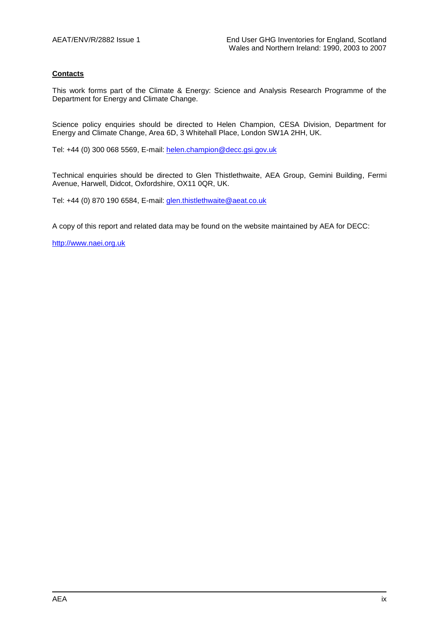### **Contacts**

This work forms part of the Climate & Energy: Science and Analysis Research Programme of the Department for Energy and Climate Change.

Science policy enquiries should be directed to Helen Champion, CESA Division, Department for Energy and Climate Change, Area 6D, 3 Whitehall Place, London SW1A 2HH, UK.

Tel: +44 (0) 300 068 5569, E-mail[: helen.champion@decc.gsi.gov.uk](mailto:helen.champion@decc.gsi.gov.uk)

Technical enquiries should be directed to Glen Thistlethwaite, AEA Group, Gemini Building, Fermi Avenue, Harwell, Didcot, Oxfordshire, OX11 0QR, UK.

Tel: +44 (0) 870 190 6584, E-mail[: glen.thistlethwaite@aeat.co.uk](mailto:glen.thistlethwaite@aeat.co.uk)

A copy of this report and related data may be found on the website maintained by AEA for DECC:

[http://www.naei.org.uk](http://www.naei.org.uk/)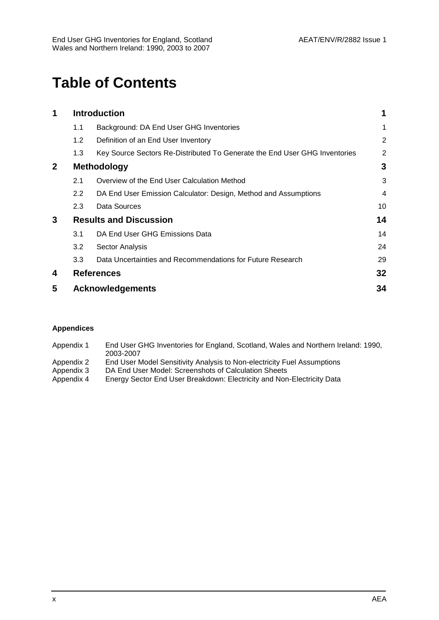# **Table of Contents**

| 1            |               | <b>Introduction</b>                                                        |                |
|--------------|---------------|----------------------------------------------------------------------------|----------------|
|              | 1.1           | Background: DA End User GHG Inventories                                    | 1              |
|              | 1.2           | Definition of an End User Inventory                                        | $\overline{2}$ |
|              | 1.3           | Key Source Sectors Re-Distributed To Generate the End User GHG Inventories | 2              |
| $\mathbf{2}$ |               | <b>Methodology</b>                                                         | 3              |
|              | 2.1           | Overview of the End User Calculation Method                                | 3              |
|              | $2.2^{\circ}$ | DA End User Emission Calculator: Design, Method and Assumptions            | 4              |
|              | 2.3           | Data Sources                                                               | 10             |
| 3            |               | <b>Results and Discussion</b>                                              | 14             |
|              | 3.1           | DA End User GHG Emissions Data                                             | 14             |
|              | 3.2           | Sector Analysis                                                            | 24             |
|              | 3.3           | Data Uncertainties and Recommendations for Future Research                 | 29             |
| 4            |               | <b>References</b>                                                          | 32             |
| 5            |               | <b>Acknowledgements</b>                                                    | 34             |

### **Appendices**

| Appendix 1 | End User GHG Inventories for England, Scotland, Wales and Northern Ireland: 1990, |
|------------|-----------------------------------------------------------------------------------|
|            | 2003-2007                                                                         |
| Appendix 2 | End User Model Sensitivity Analysis to Non-electricity Fuel Assumptions           |

- Appendix 3 DA End User Model: Screenshots of Calculation Sheets<br>Appendix 4 Energy Sector End User Breakdown: Electricity and Non
- Energy Sector End User Breakdown: Electricity and Non-Electricity Data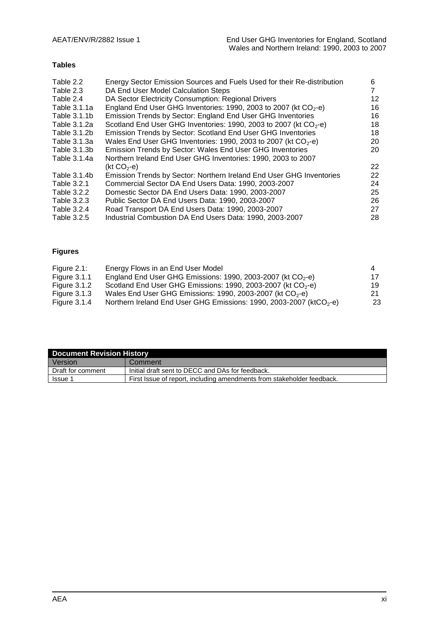### **Tables**

| Table 2.2    | Energy Sector Emission Sources and Fuels Used for their Re-distribution | 6  |
|--------------|-------------------------------------------------------------------------|----|
| Table 2.3    | DA End User Model Calculation Steps                                     |    |
| Table 2.4    | DA Sector Electricity Consumption: Regional Drivers                     | 12 |
| Table 3.1.1a | England End User GHG Inventories: 1990, 2003 to 2007 (kt $CO2$ -e)      | 16 |
| Table 3.1.1b | Emission Trends by Sector: England End User GHG Inventories             | 16 |
| Table 3.1.2a | Scotland End User GHG Inventories: 1990, 2003 to 2007 (kt $CO2$ -e)     | 18 |
| Table 3.1.2b | Emission Trends by Sector: Scotland End User GHG Inventories            | 18 |
| Table 3.1.3a | Wales End User GHG Inventories: 1990, 2003 to 2007 (kt $CO2$ -e)        | 20 |
| Table 3.1.3b | Emission Trends by Sector: Wales End User GHG Inventories               | 20 |
| Table 3.1.4a | Northern Ireland End User GHG Inventories: 1990, 2003 to 2007           |    |
|              | (kt CO <sub>2</sub> -e)                                                 | 22 |
| Table 3.1.4b | Emission Trends by Sector: Northern Ireland End User GHG Inventories    | 22 |
| Table 3.2.1  | Commercial Sector DA End Users Data: 1990, 2003-2007                    | 24 |
| Table 3.2.2  | Domestic Sector DA End Users Data: 1990, 2003-2007                      | 25 |
| Table 3.2.3  | Public Sector DA End Users Data: 1990, 2003-2007                        | 26 |
| Table 3.2.4  | Road Transport DA End Users Data: 1990, 2003-2007                       | 27 |
| Table 3.2.5  | Industrial Combustion DA End Users Data: 1990, 2003-2007                | 28 |
|              |                                                                         |    |

### **Figures**

| Figure $2.1$ :      | Energy Flows in an End User Model                                               | 4  |
|---------------------|---------------------------------------------------------------------------------|----|
| <b>Figure 3.1.1</b> | England End User GHG Emissions: 1990, 2003-2007 (kt $CO2$ -e)                   | 17 |
| Figure $3.1.2$      | Scotland End User GHG Emissions: 1990, 2003-2007 (kt $CO2$ -e)                  | 19 |
| Figure 3.1.3        | Wales End User GHG Emissions: 1990, 2003-2007 (kt $CO2$ -e)                     | 21 |
| Figure $3.1.4$      | Northern Ireland End User GHG Emissions: 1990, 2003-2007 (ktCO <sub>2</sub> -e) | 23 |

| <b>Document Revision History</b>                                                         |                                                  |  |
|------------------------------------------------------------------------------------------|--------------------------------------------------|--|
| Version                                                                                  | Comment                                          |  |
| Draft for comment                                                                        | Initial draft sent to DECC and DAs for feedback. |  |
| First Issue of report, including amendments from stakeholder feedback.<br><b>Issue</b> 1 |                                                  |  |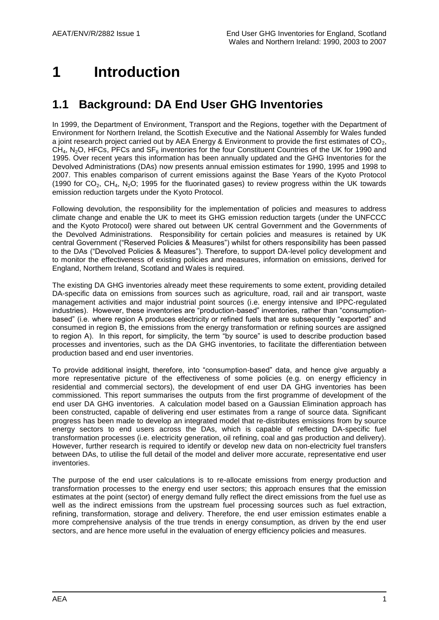# <span id="page-12-0"></span>**1 Introduction**

# <span id="page-12-1"></span>**1.1 Background: DA End User GHG Inventories**

In 1999, the Department of Environment, Transport and the Regions, together with the Department of Environment for Northern Ireland, the Scottish Executive and the National Assembly for Wales funded a joint research project carried out by AEA Energy & Environment to provide the first estimates of  $CO<sub>2</sub>$ ,  $CH<sub>4</sub>$ , N<sub>2</sub>O, HFCs, PFCs and SF<sub>6</sub> inventories for the four Constituent Countries of the UK for 1990 and 1995. Over recent years this information has been annually updated and the GHG Inventories for the Devolved Administrations (DAs) now presents annual emission estimates for 1990, 1995 and 1998 to 2007. This enables comparison of current emissions against the Base Years of the Kyoto Protocol (1990 for  $CO<sub>2</sub>$ ,  $CH<sub>4</sub>$ , N<sub>2</sub>O; 1995 for the fluorinated gases) to review progress within the UK towards emission reduction targets under the Kyoto Protocol.

Following devolution, the responsibility for the implementation of policies and measures to address climate change and enable the UK to meet its GHG emission reduction targets (under the UNFCCC and the Kyoto Protocol) were shared out between UK central Government and the Governments of the Devolved Administrations. Responsibility for certain policies and measures is retained by UK central Government ("Reserved Policies & Measures") whilst for others responsibility has been passed to the DAs ("Devolved Policies & Measures"). Therefore, to support DA-level policy development and to monitor the effectiveness of existing policies and measures, information on emissions, derived for England, Northern Ireland, Scotland and Wales is required.

The existing DA GHG inventories already meet these requirements to some extent, providing detailed DA-specific data on emissions from sources such as agriculture, road, rail and air transport, waste management activities and major industrial point sources (i.e. energy intensive and IPPC-regulated industries). However, these inventories are "production-based" inventories, rather than "consumptionbased" (i.e. where region A produces electricity or refined fuels that are subsequently "exported" and consumed in region B, the emissions from the energy transformation or refining sources are assigned to region A). In this report, for simplicity, the term "by source" is used to describe production based processes and inventories, such as the DA GHG inventories, to facilitate the differentiation between production based and end user inventories.

To provide additional insight, therefore, into "consumption-based" data, and hence give arguably a more representative picture of the effectiveness of some policies (e.g. on energy efficiency in residential and commercial sectors), the development of end user DA GHG inventories has been commissioned. This report summarises the outputs from the first programme of development of the end user DA GHG inventories. A calculation model based on a Gaussian Elimination approach has been constructed, capable of delivering end user estimates from a range of source data. Significant progress has been made to develop an integrated model that re-distributes emissions from by source energy sectors to end users across the DAs, which is capable of reflecting DA-specific fuel transformation processes (i.e. electricity generation, oil refining, coal and gas production and delivery). However, further research is required to identify or develop new data on non-electricity fuel transfers between DAs, to utilise the full detail of the model and deliver more accurate, representative end user inventories.

The purpose of the end user calculations is to re-allocate emissions from energy production and transformation processes to the energy end user sectors; this approach ensures that the emission estimates at the point (sector) of energy demand fully reflect the direct emissions from the fuel use as well as the indirect emissions from the upstream fuel processing sources such as fuel extraction, refining, transformation, storage and delivery. Therefore, the end user emission estimates enable a more comprehensive analysis of the true trends in energy consumption, as driven by the end user sectors, and are hence more useful in the evaluation of energy efficiency policies and measures.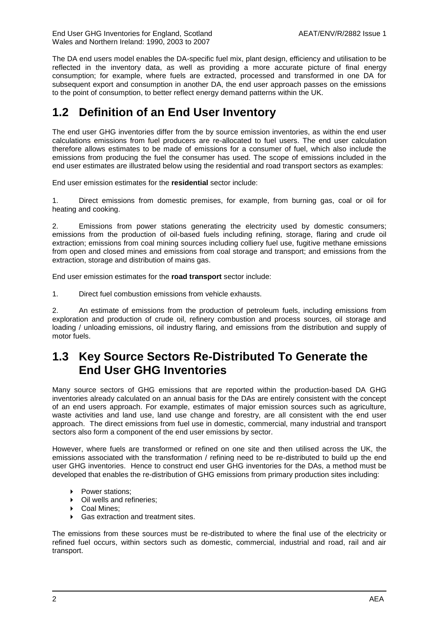The DA end users model enables the DA-specific fuel mix, plant design, efficiency and utilisation to be reflected in the inventory data, as well as providing a more accurate picture of final energy consumption; for example, where fuels are extracted, processed and transformed in one DA for subsequent export and consumption in another DA, the end user approach passes on the emissions to the point of consumption, to better reflect energy demand patterns within the UK.

## <span id="page-13-0"></span>**1.2 Definition of an End User Inventory**

The end user GHG inventories differ from the by source emission inventories, as within the end user calculations emissions from fuel producers are re-allocated to fuel users. The end user calculation therefore allows estimates to be made of emissions for a consumer of fuel, which also include the emissions from producing the fuel the consumer has used. The scope of emissions included in the end user estimates are illustrated below using the residential and road transport sectors as examples:

End user emission estimates for the **residential** sector include:

1. Direct emissions from domestic premises, for example, from burning gas, coal or oil for heating and cooking.

2. Emissions from power stations generating the electricity used by domestic consumers; emissions from the production of oil-based fuels including refining, storage, flaring and crude oil extraction; emissions from coal mining sources including colliery fuel use, fugitive methane emissions from open and closed mines and emissions from coal storage and transport; and emissions from the extraction, storage and distribution of mains gas.

End user emission estimates for the **road transport** sector include:

1. Direct fuel combustion emissions from vehicle exhausts.

2. An estimate of emissions from the production of petroleum fuels, including emissions from exploration and production of crude oil, refinery combustion and process sources, oil storage and loading / unloading emissions, oil industry flaring, and emissions from the distribution and supply of motor fuels.

### <span id="page-13-1"></span>**1.3 Key Source Sectors Re-Distributed To Generate the End User GHG Inventories**

Many source sectors of GHG emissions that are reported within the production-based DA GHG inventories already calculated on an annual basis for the DAs are entirely consistent with the concept of an end users approach. For example, estimates of major emission sources such as agriculture, waste activities and land use, land use change and forestry, are all consistent with the end user approach. The direct emissions from fuel use in domestic, commercial, many industrial and transport sectors also form a component of the end user emissions by sector.

However, where fuels are transformed or refined on one site and then utilised across the UK, the emissions associated with the transformation / refining need to be re-distributed to build up the end user GHG inventories. Hence to construct end user GHG inventories for the DAs, a method must be developed that enables the re-distribution of GHG emissions from primary production sites including:

- ▶ Power stations:
- Oil wells and refineries;<br>• Coal Mines:
- Coal Mines;
- ▶ Gas extraction and treatment sites.

The emissions from these sources must be re-distributed to where the final use of the electricity or refined fuel occurs, within sectors such as domestic, commercial, industrial and road, rail and air transport.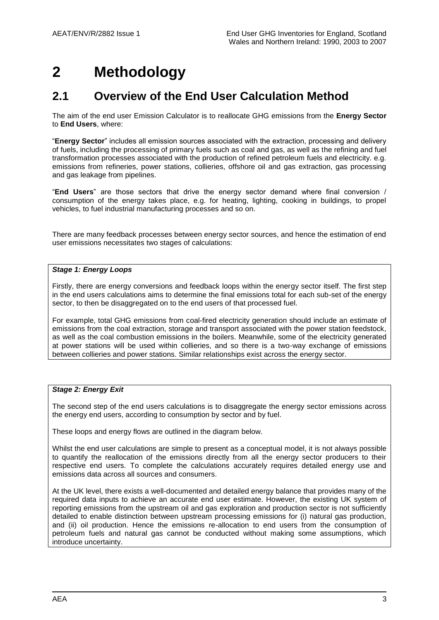# <span id="page-14-0"></span>**2 Methodology**

### <span id="page-14-1"></span>**2.1 Overview of the End User Calculation Method**

The aim of the end user Emission Calculator is to reallocate GHG emissions from the **Energy Sector** to **End Users**, where:

"**Energy Sector**" includes all emission sources associated with the extraction, processing and delivery of fuels, including the processing of primary fuels such as coal and gas, as well as the refining and fuel transformation processes associated with the production of refined petroleum fuels and electricity. e.g. emissions from refineries, power stations, collieries, offshore oil and gas extraction, gas processing and gas leakage from pipelines.

"**End Users**" are those sectors that drive the energy sector demand where final conversion / consumption of the energy takes place, e.g. for heating, lighting, cooking in buildings, to propel vehicles, to fuel industrial manufacturing processes and so on.

There are many feedback processes between energy sector sources, and hence the estimation of end user emissions necessitates two stages of calculations:

### *Stage 1: Energy Loops*

Firstly, there are energy conversions and feedback loops within the energy sector itself. The first step in the end users calculations aims to determine the final emissions total for each sub-set of the energy sector, to then be disaggregated on to the end users of that processed fuel.

For example, total GHG emissions from coal-fired electricity generation should include an estimate of emissions from the coal extraction, storage and transport associated with the power station feedstock, as well as the coal combustion emissions in the boilers. Meanwhile, some of the electricity generated at power stations will be used within collieries, and so there is a two-way exchange of emissions between collieries and power stations. Similar relationships exist across the energy sector.

#### *Stage 2: Energy Exit*

The second step of the end users calculations is to disaggregate the energy sector emissions across the energy end users, according to consumption by sector and by fuel.

These loops and energy flows are outlined in the diagram below.

Whilst the end user calculations are simple to present as a conceptual model, it is not always possible to quantify the reallocation of the emissions directly from all the energy sector producers to their respective end users. To complete the calculations accurately requires detailed energy use and emissions data across all sources and consumers.

At the UK level, there exists a well-documented and detailed energy balance that provides many of the required data inputs to achieve an accurate end user estimate. However, the existing UK system of reporting emissions from the upstream oil and gas exploration and production sector is not sufficiently detailed to enable distinction between upstream processing emissions for (i) natural gas production, and (ii) oil production. Hence the emissions re-allocation to end users from the consumption of petroleum fuels and natural gas cannot be conducted without making some assumptions, which introduce uncertainty.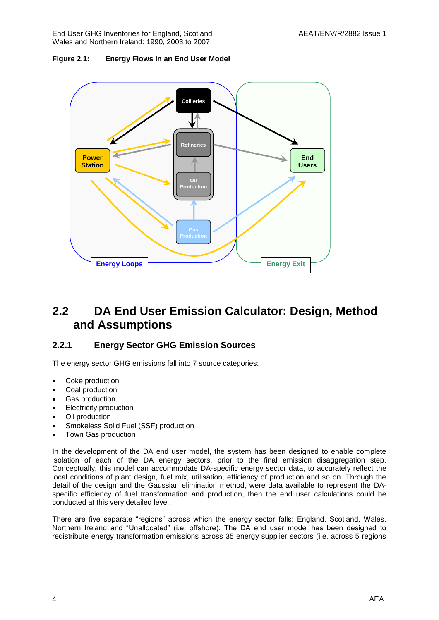End User GHG Inventories for England, Scotland AEAT/ENV/R/2882 Issue 1 Wales and Northern Ireland: 1990, 2003 to 2007





### <span id="page-15-0"></span>**2.2 DA End User Emission Calculator: Design, Method and Assumptions**

### **2.2.1 Energy Sector GHG Emission Sources**

The energy sector GHG emissions fall into 7 source categories:

- Coke production
- Coal production
- Gas production
- Electricity production
- Oil production
- Smokeless Solid Fuel (SSF) production
- Town Gas production

In the development of the DA end user model, the system has been designed to enable complete isolation of each of the DA energy sectors, prior to the final emission disaggregation step. Conceptually, this model can accommodate DA-specific energy sector data, to accurately reflect the local conditions of plant design, fuel mix, utilisation, efficiency of production and so on. Through the detail of the design and the Gaussian elimination method, were data available to represent the DAspecific efficiency of fuel transformation and production, then the end user calculations could be conducted at this very detailed level.

There are five separate "regions" across which the energy sector falls: England, Scotland, Wales, Northern Ireland and "Unallocated" (i.e. offshore). The DA end user model has been designed to redistribute energy transformation emissions across 35 energy supplier sectors (i.e. across 5 regions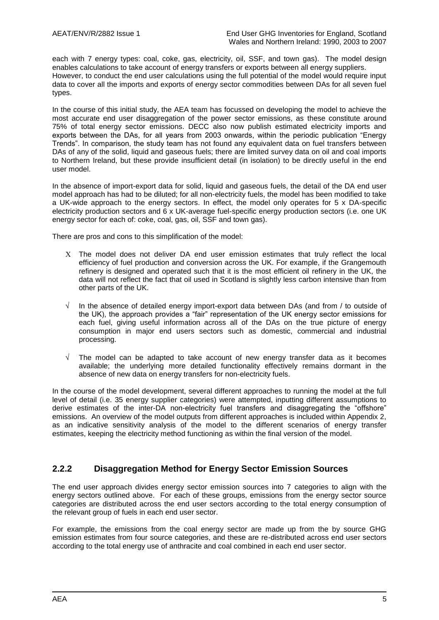each with 7 energy types: coal, coke, gas, electricity, oil, SSF, and town gas). The model design enables calculations to take account of energy transfers or exports between all energy suppliers. However, to conduct the end user calculations using the full potential of the model would require input data to cover all the imports and exports of energy sector commodities between DAs for all seven fuel types.

In the course of this initial study, the AEA team has focussed on developing the model to achieve the most accurate end user disaggregation of the power sector emissions, as these constitute around 75% of total energy sector emissions. DECC also now publish estimated electricity imports and exports between the DAs, for all years from 2003 onwards, within the periodic publication "Energy Trends". In comparison, the study team has not found any equivalent data on fuel transfers between DAs of any of the solid, liquid and gaseous fuels; there are limited survey data on oil and coal imports to Northern Ireland, but these provide insufficient detail (in isolation) to be directly useful in the end user model.

In the absence of import-export data for solid, liquid and gaseous fuels, the detail of the DA end user model approach has had to be diluted; for all non-electricity fuels, the model has been modified to take a UK-wide approach to the energy sectors. In effect, the model only operates for 5 x DA-specific electricity production sectors and 6 x UK-average fuel-specific energy production sectors (i.e. one UK energy sector for each of: coke, coal, gas, oil, SSF and town gas).

There are pros and cons to this simplification of the model:

- The model does not deliver DA end user emission estimates that truly reflect the local efficiency of fuel production and conversion across the UK. For example, if the Grangemouth refinery is designed and operated such that it is the most efficient oil refinery in the UK, the data will not reflect the fact that oil used in Scotland is slightly less carbon intensive than from other parts of the UK.
- √ In the absence of detailed energy import-export data between DAs (and from / to outside of the UK), the approach provides a "fair" representation of the UK energy sector emissions for each fuel, giving useful information across all of the DAs on the true picture of energy consumption in major end users sectors such as domestic, commercial and industrial processing.
- $\sqrt{ }$  The model can be adapted to take account of new energy transfer data as it becomes available; the underlying more detailed functionality effectively remains dormant in the absence of new data on energy transfers for non-electricity fuels.

In the course of the model development, several different approaches to running the model at the full level of detail (i.e. 35 energy supplier categories) were attempted, inputting different assumptions to derive estimates of the inter-DA non-electricity fuel transfers and disaggregating the "offshore" emissions. An overview of the model outputs from different approaches is included within Appendix 2, as an indicative sensitivity analysis of the model to the different scenarios of energy transfer estimates, keeping the electricity method functioning as within the final version of the model.

### **2.2.2 Disaggregation Method for Energy Sector Emission Sources**

The end user approach divides energy sector emission sources into 7 categories to align with the energy sectors outlined above. For each of these groups, emissions from the energy sector source categories are distributed across the end user sectors according to the total energy consumption of the relevant group of fuels in each end user sector.

For example, the emissions from the coal energy sector are made up from the by source GHG emission estimates from four source categories, and these are re-distributed across end user sectors according to the total energy use of anthracite and coal combined in each end user sector.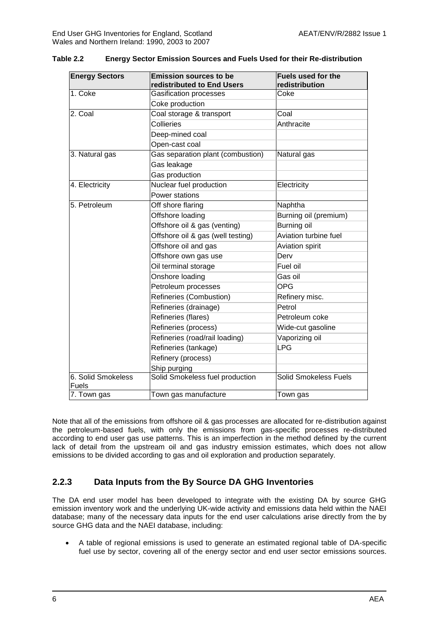| <b>Energy Sectors</b>       | <b>Emission sources to be</b><br>redistributed to End Users | Fuels used for the<br>redistribution |
|-----------------------------|-------------------------------------------------------------|--------------------------------------|
| 1. Coke                     | <b>Gasification processes</b>                               | Coke                                 |
|                             | Coke production                                             |                                      |
| 2. Coal                     | Coal storage & transport                                    | Coal                                 |
|                             | Collieries                                                  | Anthracite                           |
|                             | Deep-mined coal                                             |                                      |
|                             | Open-cast coal                                              |                                      |
| 3. Natural gas              | Gas separation plant (combustion)                           | Natural gas                          |
|                             | Gas leakage                                                 |                                      |
|                             | Gas production                                              |                                      |
| 4. Electricity              | Nuclear fuel production                                     | Electricity                          |
|                             | Power stations                                              |                                      |
| 5. Petroleum                | Off shore flaring                                           | Naphtha                              |
|                             | Offshore loading                                            | Burning oil (premium)                |
|                             | Offshore oil & gas (venting)                                | Burning oil                          |
|                             | Offshore oil & gas (well testing)                           | Aviation turbine fuel                |
|                             | Offshore oil and gas                                        | Aviation spirit                      |
|                             | Offshore own gas use                                        | Derv                                 |
|                             | Oil terminal storage                                        | Fuel oil                             |
|                             | Onshore loading                                             | Gas oil                              |
|                             | Petroleum processes                                         | <b>OPG</b>                           |
|                             | Refineries (Combustion)                                     | Refinery misc.                       |
|                             | Refineries (drainage)                                       | Petrol                               |
|                             | Refineries (flares)                                         | Petroleum coke                       |
|                             | Refineries (process)                                        | Wide-cut gasoline                    |
|                             | Refineries (road/rail loading)                              | Vaporizing oil                       |
|                             | Refineries (tankage)                                        | <b>LPG</b>                           |
|                             | Refinery (process)                                          |                                      |
|                             | Ship purging                                                |                                      |
| 6. Solid Smokeless<br>Fuels | Solid Smokeless fuel production                             | <b>Solid Smokeless Fuels</b>         |
| 7. Town gas                 | Town gas manufacture                                        | Town gas                             |

**Table 2.2 Energy Sector Emission Sources and Fuels Used for their Re-distribution**

Note that all of the emissions from offshore oil & gas processes are allocated for re-distribution against the petroleum-based fuels, with only the emissions from gas-specific processes re-distributed according to end user gas use patterns. This is an imperfection in the method defined by the current lack of detail from the upstream oil and gas industry emission estimates, which does not allow emissions to be divided according to gas and oil exploration and production separately.

### **2.2.3 Data Inputs from the By Source DA GHG Inventories**

The DA end user model has been developed to integrate with the existing DA by source GHG emission inventory work and the underlying UK-wide activity and emissions data held within the NAEI database; many of the necessary data inputs for the end user calculations arise directly from the by source GHG data and the NAEI database, including:

 A table of regional emissions is used to generate an estimated regional table of DA-specific fuel use by sector, covering all of the energy sector and end user sector emissions sources.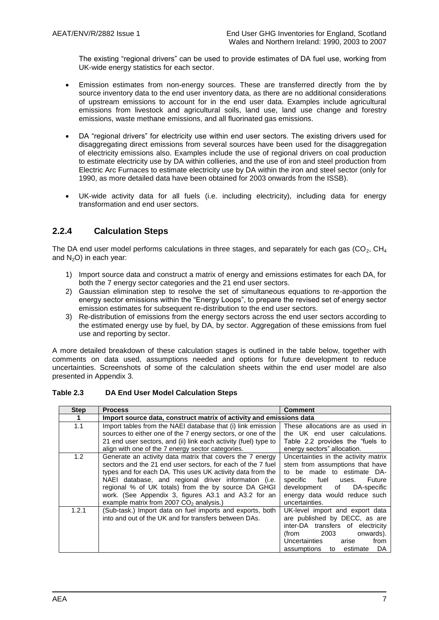The existing "regional drivers" can be used to provide estimates of DA fuel use, working from UK-wide energy statistics for each sector.

- Emission estimates from non-energy sources. These are transferred directly from the by source inventory data to the end user inventory data, as there are no additional considerations of upstream emissions to account for in the end user data. Examples include agricultural emissions from livestock and agricultural soils, land use, land use change and forestry emissions, waste methane emissions, and all fluorinated gas emissions.
- DA "regional drivers" for electricity use within end user sectors. The existing drivers used for disaggregating direct emissions from several sources have been used for the disaggregation of electricity emissions also. Examples include the use of regional drivers on coal production to estimate electricity use by DA within collieries, and the use of iron and steel production from Electric Arc Furnaces to estimate electricity use by DA within the iron and steel sector (only for 1990, as more detailed data have been obtained for 2003 onwards from the ISSB).
- UK-wide activity data for all fuels (i.e. including electricity), including data for energy transformation and end user sectors.

### **2.2.4 Calculation Steps**

The DA end user model performs calculations in three stages, and separately for each gas  $(CO<sub>2</sub>, CH<sub>4</sub>)$ and  $N<sub>2</sub>O$ ) in each year:

- 1) Import source data and construct a matrix of energy and emissions estimates for each DA, for both the 7 energy sector categories and the 21 end user sectors.
- 2) Gaussian elimination step to resolve the set of simultaneous equations to re-apportion the energy sector emissions within the "Energy Loops", to prepare the revised set of energy sector emission estimates for subsequent re-distribution to the end user sectors.
- 3) Re-distribution of emissions from the energy sectors across the end user sectors according to the estimated energy use by fuel, by DA, by sector. Aggregation of these emissions from fuel use and reporting by sector.

A more detailed breakdown of these calculation stages is outlined in the table below, together with comments on data used, assumptions needed and options for future development to reduce uncertainties. Screenshots of some of the calculation sheets within the end user model are also presented in Appendix 3.

#### **Table 2.3 DA End User Model Calculation Steps**

| <b>Step</b> | <b>Process</b>                                                                                                                                                                                                                                                                                                                                                                                            | <b>Comment</b>                                                                                                                                                                                                          |
|-------------|-----------------------------------------------------------------------------------------------------------------------------------------------------------------------------------------------------------------------------------------------------------------------------------------------------------------------------------------------------------------------------------------------------------|-------------------------------------------------------------------------------------------------------------------------------------------------------------------------------------------------------------------------|
| 1           | Import source data, construct matrix of activity and emissions data                                                                                                                                                                                                                                                                                                                                       |                                                                                                                                                                                                                         |
| 1.1         | Import tables from the NAEI database that (i) link emission<br>sources to either one of the 7 energy sectors, or one of the<br>21 end user sectors, and (ii) link each activity (fuel) type to<br>align with one of the 7 energy sector categories.                                                                                                                                                       | These allocations are as used in<br>the UK end user calculations.<br>Table 2.2 provides the "fuels to<br>energy sectors" allocation.                                                                                    |
| 1.2         | Generate an activity data matrix that covers the 7 energy<br>sectors and the 21 end user sectors, for each of the 7 fuel<br>types and for each DA. This uses UK activity data from the<br>NAEI database, and regional driver information (i.e.<br>regional % of UK totals) from the by source DA GHGI<br>work. (See Appendix 3, figures A3.1 and A3.2 for an<br>example matrix from 2007 $CO2$ analysis.) | Uncertainties in the activity matrix<br>stem from assumptions that have<br>to be made to estimate DA-<br>specific fuel uses.<br>Future<br>development of DA-specific<br>energy data would reduce such<br>uncertainties. |
| 1.2.1       | (Sub-task.) Import data on fuel imports and exports, both<br>into and out of the UK and for transfers between DAs.                                                                                                                                                                                                                                                                                        | UK-level import and export data<br>are published by DECC, as are<br>inter-DA transfers of electricity<br>2003<br>onwards).<br>(from<br>Uncertainties<br>from<br>arise<br>DA<br>assumptions<br>estimate<br>to            |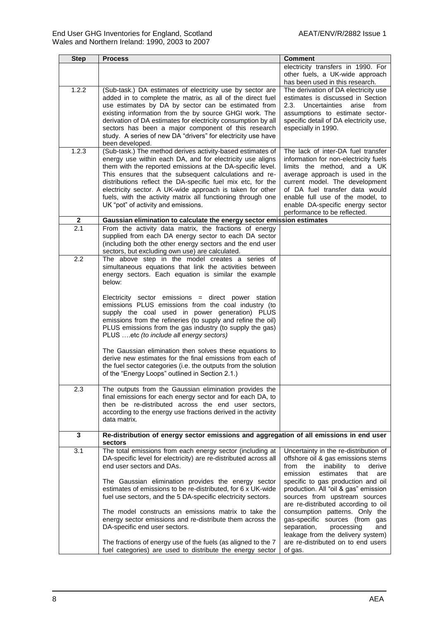| <b>Step</b>      | <b>Process</b>                                                                                                                                                                                                                                                                                                                                                                                                                                                                                          | <b>Comment</b>                                                                                                                                                                                                                                                                                                                                                                                                                |
|------------------|---------------------------------------------------------------------------------------------------------------------------------------------------------------------------------------------------------------------------------------------------------------------------------------------------------------------------------------------------------------------------------------------------------------------------------------------------------------------------------------------------------|-------------------------------------------------------------------------------------------------------------------------------------------------------------------------------------------------------------------------------------------------------------------------------------------------------------------------------------------------------------------------------------------------------------------------------|
|                  |                                                                                                                                                                                                                                                                                                                                                                                                                                                                                                         | electricity transfers in 1990. For<br>other fuels, a UK-wide approach<br>has been used in this research.                                                                                                                                                                                                                                                                                                                      |
| 1.2.2            | (Sub-task.) DA estimates of electricity use by sector are<br>added in to complete the matrix, as all of the direct fuel<br>use estimates by DA by sector can be estimated from<br>existing information from the by source GHGI work. The<br>derivation of DA estimates for electricity consumption by all<br>sectors has been a major component of this research<br>study. A series of new DA "drivers" for electricity use have<br>been developed.                                                     | The derivation of DA electricity use<br>estimates is discussed in Section<br>2.3.<br>Uncertainties<br>arise from<br>assumptions to estimate sector-<br>specific detail of DA electricity use,<br>especially in 1990.                                                                                                                                                                                                          |
| 1.2.3            | (Sub-task.) The method derives activity-based estimates of<br>energy use within each DA, and for electricity use aligns<br>them with the reported emissions at the DA-specific level.<br>This ensures that the subsequent calculations and re-<br>distributions reflect the DA-specific fuel mix etc, for the<br>electricity sector. A UK-wide approach is taken for other<br>fuels, with the activity matrix all functioning through one<br>UK "pot" of activity and emissions.                        | The lack of inter-DA fuel transfer<br>information for non-electricity fuels<br>limits the method, and a UK<br>average approach is used in the<br>current model. The development<br>of DA fuel transfer data would<br>enable full use of the model, to<br>enable DA-specific energy sector<br>performance to be reflected.                                                                                                     |
| $\overline{2}$   | Gaussian elimination to calculate the energy sector emission estimates                                                                                                                                                                                                                                                                                                                                                                                                                                  |                                                                                                                                                                                                                                                                                                                                                                                                                               |
| $\overline{2.1}$ | From the activity data matrix, the fractions of energy<br>supplied from each DA energy sector to each DA sector<br>(including both the other energy sectors and the end user<br>sectors, but excluding own use) are calculated.                                                                                                                                                                                                                                                                         |                                                                                                                                                                                                                                                                                                                                                                                                                               |
| 2.2              | The above step in the model creates a series of<br>simultaneous equations that link the activities between<br>energy sectors. Each equation is similar the example<br>below:                                                                                                                                                                                                                                                                                                                            |                                                                                                                                                                                                                                                                                                                                                                                                                               |
|                  | Electricity sector emissions = direct power station<br>emissions PLUS emissions from the coal industry (to<br>supply the coal used in power generation) PLUS<br>emissions from the refineries (to supply and refine the oil)<br>PLUS emissions from the gas industry (to supply the gas)<br>PLUS etc (to include all energy sectors)                                                                                                                                                                    |                                                                                                                                                                                                                                                                                                                                                                                                                               |
|                  | The Gaussian elimination then solves these equations to<br>derive new estimates for the final emissions from each of<br>the fuel sector categories (i.e. the outputs from the solution<br>of the "Energy Loops" outlined in Section 2.1.)                                                                                                                                                                                                                                                               |                                                                                                                                                                                                                                                                                                                                                                                                                               |
| 2.3              | The outputs from the Gaussian elimination provides the<br>final emissions for each energy sector and for each DA, to<br>then be re-distributed across the end user sectors,<br>according to the energy use fractions derived in the activity<br>data matrix.                                                                                                                                                                                                                                            |                                                                                                                                                                                                                                                                                                                                                                                                                               |
| $\mathbf 3$      | Re-distribution of energy sector emissions and aggregation of all emissions in end user<br>sectors                                                                                                                                                                                                                                                                                                                                                                                                      |                                                                                                                                                                                                                                                                                                                                                                                                                               |
| 3.1              | The total emissions from each energy sector (including at<br>DA-specific level for electricity) are re-distributed across all<br>end user sectors and DAs.<br>The Gaussian elimination provides the energy sector<br>estimates of emissions to be re-distributed, for 6 x UK-wide<br>fuel use sectors, and the 5 DA-specific electricity sectors.<br>The model constructs an emissions matrix to take the<br>energy sector emissions and re-distribute them across the<br>DA-specific end user sectors. | Uncertainty in the re-distribution of<br>offshore oil & gas emissions stems<br>from<br>the<br>inability<br>to<br>derive<br>emission<br>estimates<br>that<br>are<br>specific to gas production and oil<br>production. All "oil & gas" emission<br>sources from upstream sources<br>are re-distributed according to oil<br>consumption patterns. Only the<br>gas-specific sources (from gas<br>separation,<br>processing<br>and |
|                  | The fractions of energy use of the fuels (as aligned to the 7<br>fuel categories) are used to distribute the energy sector                                                                                                                                                                                                                                                                                                                                                                              | leakage from the delivery system)<br>are re-distributed on to end users<br>of gas.                                                                                                                                                                                                                                                                                                                                            |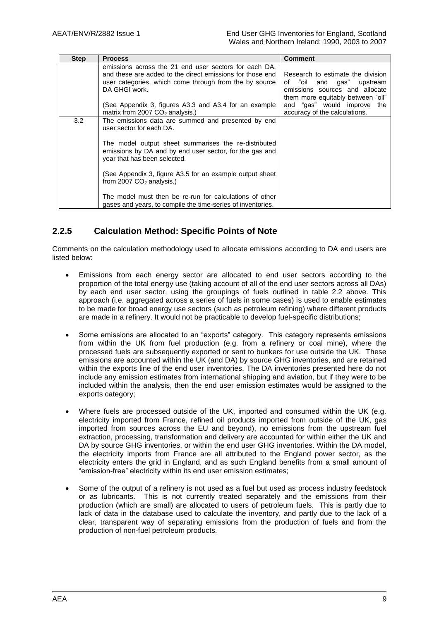| <b>Step</b> | <b>Process</b>                                                                                                                                                                                | <b>Comment</b>                                                                                                                              |
|-------------|-----------------------------------------------------------------------------------------------------------------------------------------------------------------------------------------------|---------------------------------------------------------------------------------------------------------------------------------------------|
|             | emissions across the 21 end user sectors for each DA,<br>and these are added to the direct emissions for those end<br>user categories, which come through from the by source<br>DA GHGI work. | Research to estimate the division<br>"oil and gas"<br>of<br>upstream<br>emissions sources and allocate<br>them more equitably between "oil" |
|             | (See Appendix 3, figures A3.3 and A3.4 for an example<br>matrix from 2007 $CO2$ analysis.)                                                                                                    | and "gas" would improve the<br>accuracy of the calculations.                                                                                |
| 3.2         | The emissions data are summed and presented by end<br>user sector for each DA.                                                                                                                |                                                                                                                                             |
|             | The model output sheet summarises the re-distributed<br>emissions by DA and by end user sector, for the gas and<br>year that has been selected.                                               |                                                                                                                                             |
|             | (See Appendix 3, figure A3.5 for an example output sheet)<br>from 2007 $CO2$ analysis.)                                                                                                       |                                                                                                                                             |
|             | The model must then be re-run for calculations of other<br>gases and years, to compile the time-series of inventories.                                                                        |                                                                                                                                             |

### **2.2.5 Calculation Method: Specific Points of Note**

Comments on the calculation methodology used to allocate emissions according to DA end users are listed below:

- Emissions from each energy sector are allocated to end user sectors according to the proportion of the total energy use (taking account of all of the end user sectors across all DAs) by each end user sector, using the groupings of fuels outlined in table 2.2 above. This approach (i.e. aggregated across a series of fuels in some cases) is used to enable estimates to be made for broad energy use sectors (such as petroleum refining) where different products are made in a refinery. It would not be practicable to develop fuel-specific distributions;
- Some emissions are allocated to an "exports" category. This category represents emissions from within the UK from fuel production (e.g. from a refinery or coal mine), where the processed fuels are subsequently exported or sent to bunkers for use outside the UK. These emissions are accounted within the UK (and DA) by source GHG inventories, and are retained within the exports line of the end user inventories. The DA inventories presented here do not include any emission estimates from international shipping and aviation, but if they were to be included within the analysis, then the end user emission estimates would be assigned to the exports category;
- Where fuels are processed outside of the UK, imported and consumed within the UK (e.g. electricity imported from France, refined oil products imported from outside of the UK, gas imported from sources across the EU and beyond), no emissions from the upstream fuel extraction, processing, transformation and delivery are accounted for within either the UK and DA by source GHG inventories, or within the end user GHG inventories. Within the DA model, the electricity imports from France are all attributed to the England power sector, as the electricity enters the grid in England, and as such England benefits from a small amount of "emission-free" electricity within its end user emission estimates;
- Some of the output of a refinery is not used as a fuel but used as process industry feedstock or as lubricants. This is not currently treated separately and the emissions from their production (which are small) are allocated to users of petroleum fuels. This is partly due to lack of data in the database used to calculate the inventory, and partly due to the lack of a clear, transparent way of separating emissions from the production of fuels and from the production of non-fuel petroleum products.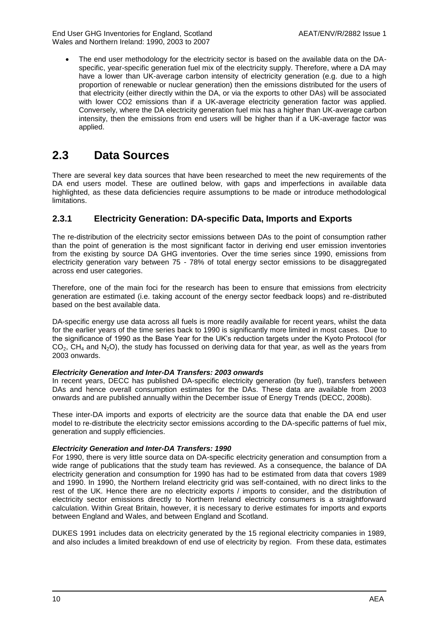The end user methodology for the electricity sector is based on the available data on the DAspecific, year-specific generation fuel mix of the electricity supply. Therefore, where a DA may have a lower than UK-average carbon intensity of electricity generation (e.g. due to a high proportion of renewable or nuclear generation) then the emissions distributed for the users of that electricity (either directly within the DA, or via the exports to other DAs) will be associated with lower CO2 emissions than if a UK-average electricity generation factor was applied. Conversely, where the DA electricity generation fuel mix has a higher than UK-average carbon intensity, then the emissions from end users will be higher than if a UK-average factor was applied.

# <span id="page-21-0"></span>**2.3 Data Sources**

There are several key data sources that have been researched to meet the new requirements of the DA end users model. These are outlined below, with gaps and imperfections in available data highlighted, as these data deficiencies require assumptions to be made or introduce methodological limitations.

### **2.3.1 Electricity Generation: DA-specific Data, Imports and Exports**

The re-distribution of the electricity sector emissions between DAs to the point of consumption rather than the point of generation is the most significant factor in deriving end user emission inventories from the existing by source DA GHG inventories. Over the time series since 1990, emissions from electricity generation vary between 75 - 78% of total energy sector emissions to be disaggregated across end user categories.

Therefore, one of the main foci for the research has been to ensure that emissions from electricity generation are estimated (i.e. taking account of the energy sector feedback loops) and re-distributed based on the best available data.

DA-specific energy use data across all fuels is more readily available for recent years, whilst the data for the earlier years of the time series back to 1990 is significantly more limited in most cases. Due to the significance of 1990 as the Base Year for the UK's reduction targets under the Kyoto Protocol (for  $CO<sub>2</sub>$ , CH<sub>4</sub> and N<sub>2</sub>O), the study has focussed on deriving data for that year, as well as the years from 2003 onwards.

### *Electricity Generation and Inter-DA Transfers: 2003 onwards*

In recent years, DECC has published DA-specific electricity generation (by fuel), transfers between DAs and hence overall consumption estimates for the DAs. These data are available from 2003 onwards and are published annually within the December issue of Energy Trends (DECC, 2008b).

These inter-DA imports and exports of electricity are the source data that enable the DA end user model to re-distribute the electricity sector emissions according to the DA-specific patterns of fuel mix, generation and supply efficiencies.

### *Electricity Generation and Inter-DA Transfers: 1990*

For 1990, there is very little source data on DA-specific electricity generation and consumption from a wide range of publications that the study team has reviewed. As a consequence, the balance of DA electricity generation and consumption for 1990 has had to be estimated from data that covers 1989 and 1990. In 1990, the Northern Ireland electricity grid was self-contained, with no direct links to the rest of the UK. Hence there are no electricity exports / imports to consider, and the distribution of electricity sector emissions directly to Northern Ireland electricity consumers is a straightforward calculation. Within Great Britain, however, it is necessary to derive estimates for imports and exports between England and Wales, and between England and Scotland.

DUKES 1991 includes data on electricity generated by the 15 regional electricity companies in 1989, and also includes a limited breakdown of end use of electricity by region. From these data, estimates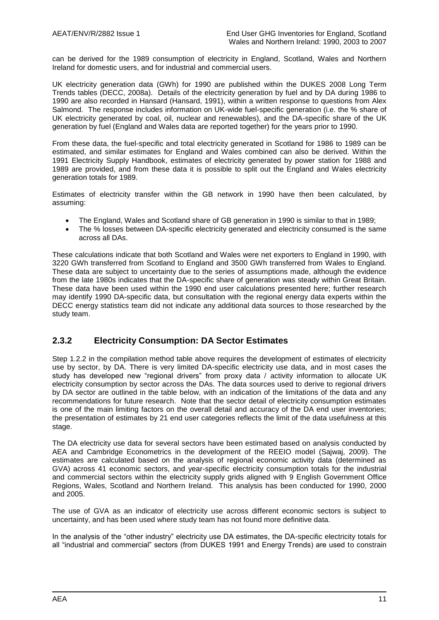can be derived for the 1989 consumption of electricity in England, Scotland, Wales and Northern Ireland for domestic users, and for industrial and commercial users.

UK electricity generation data (GWh) for 1990 are published within the DUKES 2008 Long Term Trends tables (DECC, 2008a). Details of the electricity generation by fuel and by DA during 1986 to 1990 are also recorded in Hansard (Hansard, 1991), within a written response to questions from Alex Salmond. The response includes information on UK-wide fuel-specific generation (i.e. the % share of UK electricity generated by coal, oil, nuclear and renewables), and the DA-specific share of the UK generation by fuel (England and Wales data are reported together) for the years prior to 1990.

From these data, the fuel-specific and total electricity generated in Scotland for 1986 to 1989 can be estimated, and similar estimates for England and Wales combined can also be derived. Within the 1991 Electricity Supply Handbook, estimates of electricity generated by power station for 1988 and 1989 are provided, and from these data it is possible to split out the England and Wales electricity generation totals for 1989.

Estimates of electricity transfer within the GB network in 1990 have then been calculated, by assuming:

- The England, Wales and Scotland share of GB generation in 1990 is similar to that in 1989;
- The % losses between DA-specific electricity generated and electricity consumed is the same across all DAs.

These calculations indicate that both Scotland and Wales were net exporters to England in 1990, with 3220 GWh transferred from Scotland to England and 3500 GWh transferred from Wales to England. These data are subject to uncertainty due to the series of assumptions made, although the evidence from the late 1980s indicates that the DA-specific share of generation was steady within Great Britain. These data have been used within the 1990 end user calculations presented here; further research may identify 1990 DA-specific data, but consultation with the regional energy data experts within the DECC energy statistics team did not indicate any additional data sources to those researched by the study team.

### **2.3.2 Electricity Consumption: DA Sector Estimates**

Step 1.2.2 in the compilation method table above requires the development of estimates of electricity use by sector, by DA. There is very limited DA-specific electricity use data, and in most cases the study has developed new "regional drivers" from proxy data / activity information to allocate UK electricity consumption by sector across the DAs. The data sources used to derive to regional drivers by DA sector are outlined in the table below, with an indication of the limitations of the data and any recommendations for future research. Note that the sector detail of electricity consumption estimates is one of the main limiting factors on the overall detail and accuracy of the DA end user inventories; the presentation of estimates by 21 end user categories reflects the limit of the data usefulness at this stage.

The DA electricity use data for several sectors have been estimated based on analysis conducted by AEA and Cambridge Econometrics in the development of the REEIO model (Sajwaj, 2009). The estimates are calculated based on the analysis of regional economic activity data (determined as GVA) across 41 economic sectors, and year-specific electricity consumption totals for the industrial and commercial sectors within the electricity supply grids aligned with 9 English Government Office Regions, Wales, Scotland and Northern Ireland. This analysis has been conducted for 1990, 2000 and 2005.

The use of GVA as an indicator of electricity use across different economic sectors is subject to uncertainty, and has been used where study team has not found more definitive data.

In the analysis of the "other industry" electricity use DA estimates, the DA-specific electricity totals for all "industrial and commercial" sectors (from DUKES 1991 and Energy Trends) are used to constrain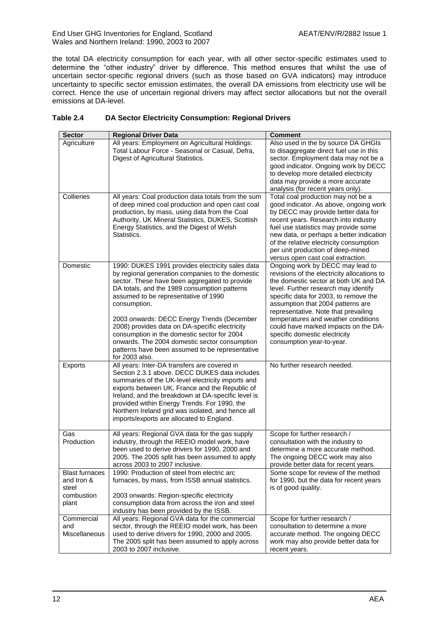the total DA electricity consumption for each year, with all other sector-specific estimates used to determine the "other industry" driver by difference. This method ensures that whilst the use of uncertain sector-specific regional drivers (such as those based on GVA indicators) may introduce uncertainty to specific sector emission estimates, the overall DA emissions from electricity use will be correct. Hence the use of uncertain regional drivers may affect sector allocations but not the overall emissions at DA-level.

### **Table 2.4 DA Sector Electricity Consumption: Regional Drivers**

| <b>Sector</b>                                                       | <b>Regional Driver Data</b>                                                                                                                                                                                                                                                                                                                                                                                                                                                                                                        | <b>Comment</b>                                                                                                                                                                                                                                                                                                                                                                                                                      |
|---------------------------------------------------------------------|------------------------------------------------------------------------------------------------------------------------------------------------------------------------------------------------------------------------------------------------------------------------------------------------------------------------------------------------------------------------------------------------------------------------------------------------------------------------------------------------------------------------------------|-------------------------------------------------------------------------------------------------------------------------------------------------------------------------------------------------------------------------------------------------------------------------------------------------------------------------------------------------------------------------------------------------------------------------------------|
| Agriculture                                                         | All years: Employment on Agricultural Holdings:<br>Total Labour Force - Seasonal or Casual, Defra,<br>Digest of Agricultural Statistics.                                                                                                                                                                                                                                                                                                                                                                                           | Also used in the by source DA GHGIs<br>to disaggregate direct fuel use in this<br>sector. Employment data may not be a<br>good indicator. Ongoing work by DECC<br>to develop more detailed electricity<br>data may provide a more accurate<br>analysis (for recent years only).                                                                                                                                                     |
| Collieries                                                          | All years: Coal production data totals from the sum<br>of deep mined coal production and open cast coal<br>production, by mass, using data from the Coal<br>Authority, UK Mineral Statistics, DUKES, Scottish<br>Energy Statistics, and the Digest of Welsh<br>Statistics.                                                                                                                                                                                                                                                         | Total coal production may not be a<br>good indicator. As above, ongoing work<br>by DECC may provide better data for<br>recent years. Research into industry<br>fuel use statistics may provide some<br>new data, or perhaps a better indication<br>of the relative electricity consumption<br>per unit production of deep-mined<br>versus open cast coal extraction.                                                                |
| Domestic                                                            | 1990: DUKES 1991 provides electricity sales data<br>by regional generation companies to the domestic<br>sector. These have been aggregated to provide<br>DA totals, and the 1989 consumption patterns<br>assumed to be representative of 1990<br>consumption.<br>2003 onwards: DECC Energy Trends (December<br>2008) provides data on DA-specific electricity<br>consumption in the domestic sector for 2004<br>onwards. The 2004 domestic sector consumption<br>patterns have been assumed to be representative<br>for 2003 also. | Ongoing work by DECC may lead to<br>revisions of the electricity allocations to<br>the domestic sector at both UK and DA<br>level. Further research may identify<br>specific data for 2003, to remove the<br>assumption that 2004 patterns are<br>representative. Note that prevailing<br>temperatures and weather conditions<br>could have marked impacts on the DA-<br>specific domestic electricity<br>consumption year-to-year. |
| Exports                                                             | All years: Inter-DA transfers are covered in<br>Section 2.3.1 above. DECC DUKES data includes<br>summaries of the UK-level electricity imports and<br>exports between UK, France and the Republic of<br>Ireland, and the breakdown at DA-specific level is<br>provided within Energy Trends. For 1990, the<br>Northern Ireland grid was isolated, and hence all<br>imports/exports are allocated to England.                                                                                                                       | No further research needed.                                                                                                                                                                                                                                                                                                                                                                                                         |
| Gas<br>Production                                                   | All years: Regional GVA data for the gas supply<br>industry, through the REEIO model work, have<br>been used to derive drivers for 1990, 2000 and<br>2005. The 2005 split has been assumed to apply<br>across 2003 to 2007 inclusive.                                                                                                                                                                                                                                                                                              | Scope for further research /<br>consultation with the industry to<br>determine a more accurate method.<br>The ongoing DECC work may also<br>provide better data for recent years.                                                                                                                                                                                                                                                   |
| <b>Blast furnaces</b><br>and Iron &<br>steel<br>combustion<br>plant | 1990: Production of steel from electric arc<br>furnaces, by mass, from ISSB annual statistics.<br>2003 onwards: Region-specific electricity<br>consumption data from across the iron and steel<br>industry has been provided by the ISSB.                                                                                                                                                                                                                                                                                          | Some scope for review of the method<br>for 1990, but the data for recent years<br>is of good quality.                                                                                                                                                                                                                                                                                                                               |
| Commercial<br>and<br>Miscellaneous                                  | All years: Regional GVA data for the commercial<br>sector, through the REEIO model work, has been<br>used to derive drivers for 1990, 2000 and 2005.<br>The 2005 split has been assumed to apply across<br>2003 to 2007 inclusive.                                                                                                                                                                                                                                                                                                 | Scope for further research /<br>consultation to determine a more<br>accurate method. The ongoing DECC<br>work may also provide better data for<br>recent years.                                                                                                                                                                                                                                                                     |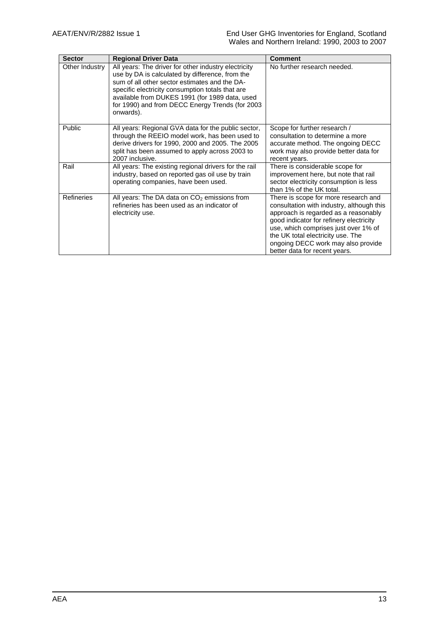| <b>Sector</b>     | <b>Regional Driver Data</b>                                                                                                                                                                                                                                                                                                    | <b>Comment</b>                                                                                                                                                                                                                                                                                                           |
|-------------------|--------------------------------------------------------------------------------------------------------------------------------------------------------------------------------------------------------------------------------------------------------------------------------------------------------------------------------|--------------------------------------------------------------------------------------------------------------------------------------------------------------------------------------------------------------------------------------------------------------------------------------------------------------------------|
| Other Industry    | All years: The driver for other industry electricity<br>use by DA is calculated by difference, from the<br>sum of all other sector estimates and the DA-<br>specific electricity consumption totals that are<br>available from DUKES 1991 (for 1989 data, used<br>for 1990) and from DECC Energy Trends (for 2003<br>onwards). | No further research needed.                                                                                                                                                                                                                                                                                              |
| Public            | All years: Regional GVA data for the public sector,<br>through the REEIO model work, has been used to<br>derive drivers for 1990, 2000 and 2005. The 2005<br>split has been assumed to apply across 2003 to<br>2007 inclusive.                                                                                                 | Scope for further research /<br>consultation to determine a more<br>accurate method. The ongoing DECC<br>work may also provide better data for<br>recent years.                                                                                                                                                          |
| Rail              | All years: The existing regional drivers for the rail<br>industry, based on reported gas oil use by train<br>operating companies, have been used.                                                                                                                                                                              | There is considerable scope for<br>improvement here, but note that rail<br>sector electricity consumption is less<br>than 1% of the UK total.                                                                                                                                                                            |
| <b>Refineries</b> | All years: The DA data on $CO2$ emissions from<br>refineries has been used as an indicator of<br>electricity use.                                                                                                                                                                                                              | There is scope for more research and<br>consultation with industry, although this<br>approach is regarded as a reasonably<br>good indicator for refinery electricity<br>use, which comprises just over 1% of<br>the UK total electricity use. The<br>ongoing DECC work may also provide<br>better data for recent years. |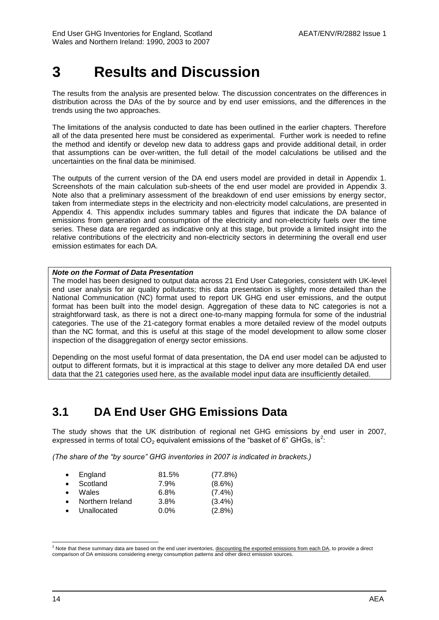# <span id="page-25-0"></span>**3 Results and Discussion**

The results from the analysis are presented below. The discussion concentrates on the differences in distribution across the DAs of the by source and by end user emissions, and the differences in the trends using the two approaches.

The limitations of the analysis conducted to date has been outlined in the earlier chapters. Therefore all of the data presented here must be considered as experimental. Further work is needed to refine the method and identify or develop new data to address gaps and provide additional detail, in order that assumptions can be over-written, the full detail of the model calculations be utilised and the uncertainties on the final data be minimised.

The outputs of the current version of the DA end users model are provided in detail in Appendix 1. Screenshots of the main calculation sub-sheets of the end user model are provided in Appendix 3. Note also that a preliminary assessment of the breakdown of end user emissions by energy sector, taken from intermediate steps in the electricity and non-electricity model calculations, are presented in Appendix 4. This appendix includes summary tables and figures that indicate the DA balance of emissions from generation and consumption of the electricity and non-electricity fuels over the time series. These data are regarded as indicative only at this stage, but provide a limited insight into the relative contributions of the electricity and non-electricity sectors in determining the overall end user emission estimates for each DA.

### *Note on the Format of Data Presentation*

The model has been designed to output data across 21 End User Categories, consistent with UK-level end user analysis for air quality pollutants; this data presentation is slightly more detailed than the National Communication (NC) format used to report UK GHG end user emissions, and the output format has been built into the model design. Aggregation of these data to NC categories is not a straightforward task, as there is not a direct one-to-many mapping formula for some of the industrial categories. The use of the 21-category format enables a more detailed review of the model outputs than the NC format, and this is useful at this stage of the model development to allow some closer inspection of the disaggregation of energy sector emissions.

Depending on the most useful format of data presentation, the DA end user model can be adjusted to output to different formats, but it is impractical at this stage to deliver any more detailed DA end user data that the 21 categories used here, as the available model input data are insufficiently detailed.

## <span id="page-25-1"></span>**3.1 DA End User GHG Emissions Data**

The study shows that the UK distribution of regional net GHG emissions by end user in 2007, expressed in terms of total CO<sub>2</sub> equivalent emissions of the "basket of 6" GHGs, is<sup>2</sup>:

*(The share of the "by source" GHG inventories in 2007 is indicated in brackets.)*

| $\bullet$ | England          | 81.5%   | (77.8%)   |
|-----------|------------------|---------|-----------|
| $\bullet$ | Scotland         | 7.9%    | $(8.6\%)$ |
| $\bullet$ | Wales            | 6.8%    | $(7.4\%)$ |
| $\bullet$ | Northern Ireland | 3.8%    | $(3.4\%)$ |
| $\bullet$ | Unallocated      | $0.0\%$ | $(2.8\%)$ |

l  $^2$  Note that these summary data are based on the end user inventories, <u>discounting the exported emissions from each DA</u>, to provide a direct comparison of DA emissions considering energy consumption patterns and other direct emission sources.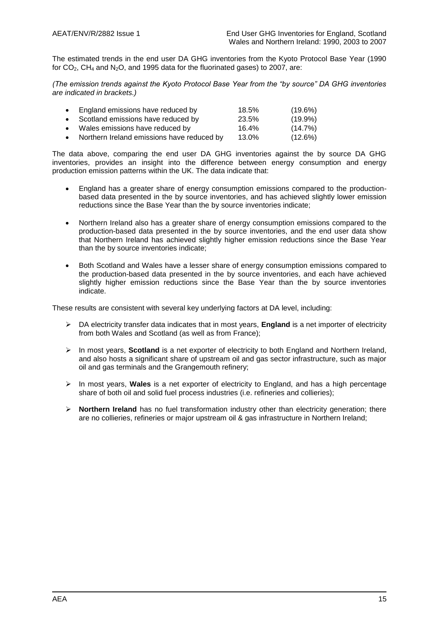The estimated trends in the end user DA GHG inventories from the Kyoto Protocol Base Year (1990 for  $CO<sub>2</sub>$ , CH<sub>4</sub> and N<sub>2</sub>O, and 1995 data for the fluorinated gases) to 2007, are:

*(The emission trends against the Kyoto Protocol Base Year from the "by source" DA GHG inventories are indicated in brackets.)*

| • England emissions have reduced by          | 18.5% | $(19.6\%)$ |
|----------------------------------------------|-------|------------|
| • Scotland emissions have reduced by         | 23.5% | $(19.9\%)$ |
| • Wales emissions have reduced by            | 16.4% | (14.7%)    |
| • Northern Ireland emissions have reduced by | 13.0% | (12.6%)    |

The data above, comparing the end user DA GHG inventories against the by source DA GHG inventories, provides an insight into the difference between energy consumption and energy production emission patterns within the UK. The data indicate that:

- England has a greater share of energy consumption emissions compared to the productionbased data presented in the by source inventories, and has achieved slightly lower emission reductions since the Base Year than the by source inventories indicate;
- Northern Ireland also has a greater share of energy consumption emissions compared to the production-based data presented in the by source inventories, and the end user data show that Northern Ireland has achieved slightly higher emission reductions since the Base Year than the by source inventories indicate;
- Both Scotland and Wales have a lesser share of energy consumption emissions compared to the production-based data presented in the by source inventories, and each have achieved slightly higher emission reductions since the Base Year than the by source inventories indicate.

These results are consistent with several key underlying factors at DA level, including:

- DA electricity transfer data indicates that in most years, **England** is a net importer of electricity from both Wales and Scotland (as well as from France);
- In most years, **Scotland** is a net exporter of electricity to both England and Northern Ireland, and also hosts a significant share of upstream oil and gas sector infrastructure, such as major oil and gas terminals and the Grangemouth refinery;
- In most years, **Wales** is a net exporter of electricity to England, and has a high percentage share of both oil and solid fuel process industries (i.e. refineries and collieries);
- **Northern Ireland** has no fuel transformation industry other than electricity generation; there are no collieries, refineries or major upstream oil & gas infrastructure in Northern Ireland;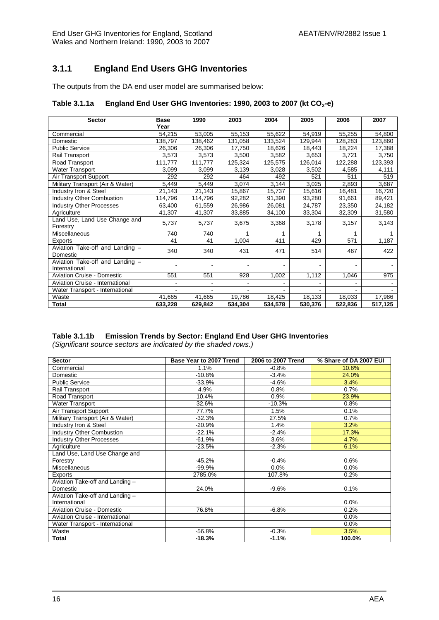### **3.1.1 England End Users GHG Inventories**

The outputs from the DA end user model are summarised below:

### **Table 3.1.1a England End User GHG Inventories: 1990, 2003 to 2007 (kt CO2-e)**

| <b>Sector</b>                                    | <b>Base</b><br>Year | 1990    | 2003    | 2004    | 2005    | 2006    | 2007    |
|--------------------------------------------------|---------------------|---------|---------|---------|---------|---------|---------|
| Commercial                                       | 54,215              | 53,005  | 55,153  | 55,622  | 54,919  | 55,255  | 54,800  |
| Domestic                                         | 138,797             | 138,462 | 131,058 | 133,524 | 129,944 | 128,283 | 123,860 |
| <b>Public Service</b>                            | 26,306              | 26,306  | 17.750  | 18,626  | 18,443  | 18,224  | 17,388  |
| Rail Transport                                   | 3,573               | 3,573   | 3,500   | 3,582   | 3,653   | 3,721   | 3,750   |
| Road Transport                                   | 111,777             | 111,777 | 125,324 | 125,575 | 126,014 | 122,288 | 123,393 |
| <b>Water Transport</b>                           | 3,099               | 3,099   | 3,139   | 3,028   | 3,502   | 4,585   | 4,111   |
| Air Transport Support                            | 292                 | 292     | 464     | 492     | 521     | 511     | 519     |
| Military Transport (Air & Water)                 | 5,449               | 5,449   | 3,074   | 3,144   | 3,025   | 2,893   | 3,687   |
| Industry Iron & Steel                            | 21,143              | 21,143  | 15,867  | 15,737  | 15,616  | 16,481  | 16,720  |
| <b>Industry Other Combustion</b>                 | 114,796             | 114,796 | 92,282  | 91,390  | 93,280  | 91,661  | 89,421  |
| <b>Industry Other Processes</b>                  | 63,400              | 61,559  | 26,986  | 26,081  | 24,787  | 23,350  | 24,182  |
| Agriculture                                      | 41,307              | 41,307  | 33,885  | 34,100  | 33,304  | 32,309  | 31,580  |
| Land Use, Land Use Change and<br>Forestry        | 5,737               | 5,737   | 3,675   | 3,368   | 3,178   | 3,157   | 3,143   |
| Miscellaneous                                    | 740                 | 740     |         |         |         |         |         |
| Exports                                          | 41                  | 41      | 1,004   | 411     | 429     | 571     | 1,187   |
| Aviation Take-off and Landing -<br>Domestic      | 340                 | 340     | 431     | 471     | 514     | 467     | 422     |
| Aviation Take-off and Landing -<br>International |                     |         |         |         |         |         |         |
| <b>Aviation Cruise - Domestic</b>                | 551                 | 551     | 928     | 1,002   | 1,112   | 1,046   | 975     |
| Aviation Cruise - International                  |                     |         |         |         |         |         |         |
| Water Transport - International                  |                     |         |         |         |         |         |         |
| Waste                                            | 41,665              | 41,665  | 19,786  | 18,425  | 18,133  | 18,033  | 17,986  |
| <b>Total</b>                                     | 633,228             | 629,842 | 534,304 | 534,578 | 530,376 | 522,836 | 517,125 |

### **Table 3.1.1b Emission Trends by Sector: England End User GHG Inventories**

*(Significant source sectors are indicated by the shaded rows.)*

| <b>Sector</b>                     | Base Year to 2007 Trend | 2006 to 2007 Trend | % Share of DA 2007 EUI |
|-----------------------------------|-------------------------|--------------------|------------------------|
| Commercial                        | 1.1%                    | $-0.8%$            | 10.6%                  |
| Domestic                          | $-10.8%$                | $-3.4%$            | 24.0%                  |
| <b>Public Service</b>             | $-33.9%$                | $-4.6%$            | 3.4%                   |
| Rail Transport                    | 4.9%                    | 0.8%               | 0.7%                   |
| Road Transport                    | 10.4%                   | 0.9%               | 23.9%                  |
| <b>Water Transport</b>            | 32.6%                   | $-10.3%$           | 0.8%                   |
| Air Transport Support             | 77.7%                   | 1.5%               | 0.1%                   |
| Military Transport (Air & Water)  | $-32.3%$                | 27.5%              | 0.7%                   |
| Industry Iron & Steel             | $-20.9%$                | 1.4%               | 3.2%                   |
| <b>Industry Other Combustion</b>  | $-22.1%$                | $-2.4%$            | 17.3%                  |
| <b>Industry Other Processes</b>   | $-61.9%$                | 3.6%               | 4.7%                   |
| Agriculture                       | $-23.5%$                | $-2.3%$            | 6.1%                   |
| Land Use, Land Use Change and     |                         |                    |                        |
| Forestry                          | $-45.2%$                | $-0.4%$            | 0.6%                   |
| Miscellaneous                     | $-99.9%$                | 0.0%               | 0.0%                   |
| Exports                           | 2785.0%                 | 107.8%             | 0.2%                   |
| Aviation Take-off and Landing -   |                         |                    |                        |
| Domestic                          | 24.0%                   | $-9.6%$            | 0.1%                   |
| Aviation Take-off and Landing -   |                         |                    |                        |
| International                     |                         |                    | 0.0%                   |
| <b>Aviation Cruise - Domestic</b> | 76.8%                   | $-6.8%$            | 0.2%                   |
| Aviation Cruise - International   |                         |                    | 0.0%                   |
| Water Transport - International   |                         |                    | 0.0%                   |
| Waste                             | $-56.8%$                | $-0.3%$            | 3.5%                   |
| Total                             | $-18.3%$                | $-1.1%$            | 100.0%                 |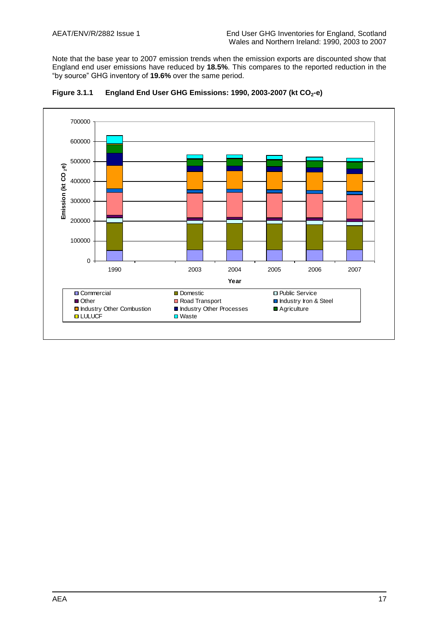Note that the base year to 2007 emission trends when the emission exports are discounted show that England end user emissions have reduced by **18.5%**. This compares to the reported reduction in the "by source" GHG inventory of **19.6%** over the same period.



**Figure 3.1.1 England End User GHG Emissions: 1990, 2003-2007 (kt CO2-e)**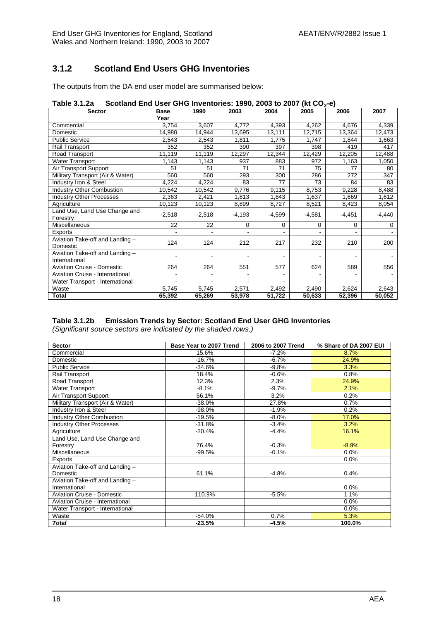### **3.1.2 Scotland End Users GHG Inventories**

The outputs from the DA end user model are summarised below:

| Table 3.1.2a Scotland End User GHG Inventories: 1990, 2003 to 2007 (kt CO <sub>2</sub> -e) |  |  |  |  |
|--------------------------------------------------------------------------------------------|--|--|--|--|
|                                                                                            |  |  |  |  |

| <b>Sector</b>                     | <b>Base</b> | 1990     | 2003     | 2004     | 2005     | 2006     | 2007     |
|-----------------------------------|-------------|----------|----------|----------|----------|----------|----------|
|                                   | Year        |          |          |          |          |          |          |
| Commercial                        | 3,754       | 3,607    | 4,772    | 4,393    | 4,262    | 4,676    | 4,339    |
| Domestic                          | 14,980      | 14,944   | 13,695   | 13,111   | 12,715   | 13,364   | 12,473   |
| <b>Public Service</b>             | 2,543       | 2,543    | 1,811    | 1,775    | 1,747    | 1,844    | 1,663    |
| Rail Transport                    | 352         | 352      | 390      | 397      | 398      | 419      | 417      |
| Road Transport                    | 11,119      | 11,119   | 12,297   | 12,344   | 12,429   | 12,205   | 12,488   |
| <b>Water Transport</b>            | 1,143       | 1,143    | 937      | 883      | 972      | 1,163    | 1,050    |
| Air Transport Support             | 51          | 51       | 71       | 71       | 75       | 77       | 80       |
| Military Transport (Air & Water)  | 560         | 560      | 293      | 300      | 286      | 272      | 347      |
| Industry Iron & Steel             | 4,224       | 4,224    | 83       | 77       | 73       | 84       | 83       |
| <b>Industry Other Combustion</b>  | 10,542      | 10,542   | 9,776    | 9,115    | 8,753    | 9,228    | 8,488    |
| <b>Industry Other Processes</b>   | 2,363       | 2,421    | 1,813    | 1,843    | 1,637    | 1,669    | 1,612    |
| Agriculture                       | 10,123      | 10,123   | 8,899    | 8,727    | 8,521    | 8,423    | 8,054    |
| Land Use, Land Use Change and     | $-2,518$    |          |          |          |          |          |          |
| Forestry                          |             | $-2,518$ | $-4,193$ | $-4,599$ | $-4,581$ | $-4,451$ | $-4,440$ |
| Miscellaneous                     | 22          | 22       | 0        | 0        | 0        | 0        | 0        |
| Exports                           |             |          |          |          | ٠        |          |          |
| Aviation Take-off and Landing -   | 124         | 124      | 212      | 217      | 232      | 210      | 200      |
| Domestic                          |             |          |          |          |          |          |          |
| Aviation Take-off and Landing -   |             |          |          |          |          |          |          |
| International                     |             |          |          |          |          |          |          |
| <b>Aviation Cruise - Domestic</b> | 264         | 264      | 551      | 577      | 624      | 589      | 556      |
| Aviation Cruise - International   |             |          |          |          |          |          |          |
| Water Transport - International   |             |          |          |          |          |          |          |
| Waste                             | 5,745       | 5,745    | 2,571    | 2,492    | 2,490    | 2,624    | 2,643    |
| <b>Total</b>                      | 65,392      | 65,269   | 53,978   | 51,722   | 50,633   | 52,396   | 50,052   |

### **Table 3.1.2b Emission Trends by Sector: Scotland End User GHG Inventories**

*(Significant source sectors are indicated by the shaded rows.)*

| <b>Sector</b>                     | Base Year to 2007 Trend | 2006 to 2007 Trend | % Share of DA 2007 EUI |
|-----------------------------------|-------------------------|--------------------|------------------------|
| Commercial                        | 15.6%                   | $-7.2%$            | 8.7%                   |
| Domestic                          | $-16.7%$                | $-6.7%$            | 24.9%                  |
| <b>Public Service</b>             | $-34.6%$                | $-9.8%$            | 3.3%                   |
| Rail Transport                    | 18.4%                   | $-0.6%$            | 0.8%                   |
| Road Transport                    | 12.3%                   | 2.3%               | 24.9%                  |
| Water Transport                   | $-8.1%$                 | $-9.7%$            | 2.1%                   |
| Air Transport Support             | 56.1%                   | 3.2%               | 0.2%                   |
| Military Transport (Air & Water)  | $-38.0%$                | 27.8%              | 0.7%                   |
| Industry Iron & Steel             | $-98.0%$                | $-1.9%$            | 0.2%                   |
| <b>Industry Other Combustion</b>  | $-19.5%$                | $-8.0\%$           | 17.0%                  |
| <b>Industry Other Processes</b>   | $-31.8%$                | $-3.4%$            | 3.2%                   |
| Agriculture                       | $-20.4%$                | $-4.4%$            | 16.1%                  |
| Land Use, Land Use Change and     |                         |                    |                        |
| Forestry                          | 76.4%                   | $-0.3%$            | $-8.9%$                |
| <b>Miscellaneous</b>              | $-99.5%$                | $-0.1%$            | 0.0%                   |
| Exports                           |                         |                    | 0.0%                   |
| Aviation Take-off and Landing -   |                         |                    |                        |
| Domestic                          | 61.1%                   | $-4.8%$            | 0.4%                   |
| Aviation Take-off and Landing -   |                         |                    |                        |
| International                     |                         |                    | 0.0%                   |
| <b>Aviation Cruise - Domestic</b> | 110.9%                  | $-5.5%$            | 1.1%                   |
| Aviation Cruise - International   |                         |                    | 0.0%                   |
| Water Transport - International   |                         |                    | 0.0%                   |
| Waste                             | $-54.0%$                | 0.7%               | 5.3%                   |
| <b>Total</b>                      | $-23.5%$                | $-4.5%$            | 100.0%                 |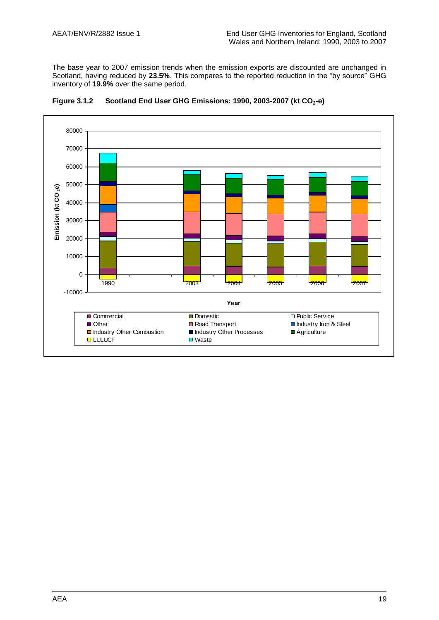The base year to 2007 emission trends when the emission exports are discounted are unchanged in Scotland, having reduced by **23.5%**. This compares to the reported reduction in the "by source" GHG inventory of **19.9%** over the same period.



**Figure 3.1.2 Scotland End User GHG Emissions: 1990, 2003-2007 (kt CO2-e)**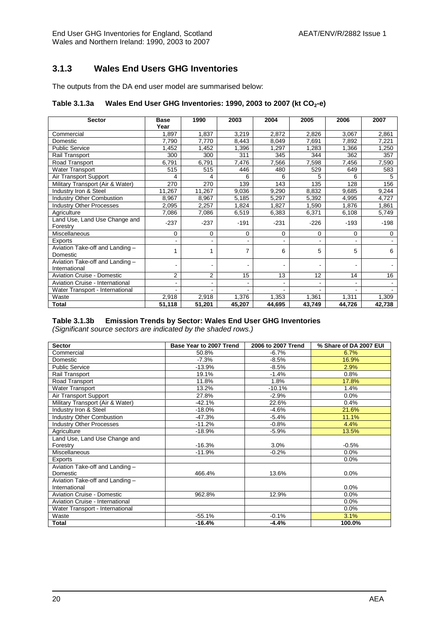### **3.1.3 Wales End Users GHG Inventories**

The outputs from the DA end user model are summarised below:

### **Table 3.1.3a Wales End User GHG Inventories: 1990, 2003 to 2007 (kt CO2-e)**

| <b>Sector</b>                                    | <b>Base</b><br>Year | 1990   | 2003     | 2004           | 2005                     | 2006   | 2007   |
|--------------------------------------------------|---------------------|--------|----------|----------------|--------------------------|--------|--------|
| Commercial                                       | 1,897               | 1,837  | 3,219    | 2,872          | 2,826                    | 3,067  | 2,861  |
| Domestic                                         | 7,790               | 7,770  | 8,443    | 8,049          | 7,691                    | 7,892  | 7,221  |
| <b>Public Service</b>                            | 1,452               | ,452   | 1,396    | 1,297          | 1,283                    | 1,366  | 1,250  |
| Rail Transport                                   | 300                 | 300    | 311      | 345            | 344                      | 362    | 357    |
| Road Transport                                   | 6,791               | 6,791  | 7,476    | 7,566          | 7,598                    | 7,456  | 7,590  |
| <b>Water Transport</b>                           | 515                 | 515    | 446      | 480            | 529                      | 649    | 583    |
| Air Transport Support                            | 4                   | 4      | 6        | 6              | 5                        | 6      | 5      |
| Military Transport (Air & Water)                 | 270                 | 270    | 139      | 143            | 135                      | 128    | 156    |
| Industry Iron & Steel                            | 11,267              | 11,267 | 9,036    | 9,290          | 8,832                    | 9,685  | 9,244  |
| <b>Industry Other Combustion</b>                 | 8,967               | 8,967  | 5,185    | 5,297          | 5,392                    | 4,995  | 4,727  |
| <b>Industry Other Processes</b>                  | 2,095               | 2,257  | 1,824    | 1,827          | 1,590                    | 1,876  | 1,861  |
| Agriculture                                      | 7,086               | 7,086  | 6,519    | 6,383          | 6,371                    | 6,108  | 5,749  |
| Land Use, Land Use Change and<br>Forestry        | $-237$              | $-237$ | $-191$   | $-231$         | $-226$                   | $-193$ | $-198$ |
| Miscellaneous                                    | 0                   | 0      | $\Omega$ | $\Omega$       | 0                        | 0      | 0      |
| Exports                                          |                     |        |          | $\blacksquare$ | ٠                        | ۰      |        |
| Aviation Take-off and Landing -<br>Domestic      |                     |        | 7        | 6              | 5                        | 5      | 6      |
| Aviation Take-off and Landing -<br>International |                     |        |          |                |                          |        |        |
| <b>Aviation Cruise - Domestic</b>                | $\overline{2}$      | 2      | 15       | 13             | 12                       | 14     | 16     |
| Aviation Cruise - International                  |                     |        |          |                |                          |        |        |
| Water Transport - International                  | $\blacksquare$      |        |          |                | $\overline{\phantom{0}}$ |        | $\sim$ |
| Waste                                            | 2,918               | 2,918  | 1,376    | 1,353          | 1,361                    | 1,311  | 1,309  |
| <b>Total</b>                                     | 51,118              | 51,201 | 45,207   | 44,695         | 43,749                   | 44,726 | 42,738 |

### **Table 3.1.3b Emission Trends by Sector: Wales End User GHG Inventories**

*(Significant source sectors are indicated by the shaded rows.)*

| <b>Sector</b>                     | Base Year to 2007 Trend | 2006 to 2007 Trend | % Share of DA 2007 EUI |
|-----------------------------------|-------------------------|--------------------|------------------------|
| Commercial                        | 50.8%                   | $-6.7\%$           | 6.7%                   |
| Domestic                          | $-7.3%$                 | $-8.5\%$           | 16.9%                  |
| <b>Public Service</b>             | $-13.9%$                | -8.5%              | 2.9%                   |
| Rail Transport                    | 19.1%                   | $-1.4%$            | 0.8%                   |
| Road Transport                    | 11.8%                   | 1.8%               | 17.8%                  |
| <b>Water Transport</b>            | 13.2%                   | $-10.1%$           | 1.4%                   |
| Air Transport Support             | 27.8%                   | $-2.9%$            | 0.0%                   |
| Military Transport (Air & Water)  | $-42.1%$                | 22.6%              | 0.4%                   |
| Industry Iron & Steel             | $-18.0%$                | $-4.6%$            | 21.6%                  |
| <b>Industry Other Combustion</b>  | $-47.3%$                | $-5.4%$            | 11.1%                  |
| Industry Other Processes          | $-11.2%$                | $-0.8%$            | 4.4%                   |
| Agriculture                       | $-18.9%$                | $-5.9%$            | 13.5%                  |
| Land Use, Land Use Change and     |                         |                    |                        |
| Forestry                          | $-16.3%$                | 3.0%               | $-0.5%$                |
| <b>Miscellaneous</b>              | $-11.9%$                | $-0.2%$            | 0.0%                   |
| Exports                           |                         |                    | 0.0%                   |
| Aviation Take-off and Landing -   |                         |                    |                        |
| Domestic                          | 466.4%                  | 13.6%              | 0.0%                   |
| Aviation Take-off and Landing -   |                         |                    |                        |
| International                     |                         |                    | 0.0%                   |
| <b>Aviation Cruise - Domestic</b> | 962.8%                  | 12.9%              | 0.0%                   |
| Aviation Cruise - International   |                         |                    | 0.0%                   |
| Water Transport - International   |                         |                    | 0.0%                   |
| Waste                             | $-55.1%$                | $-0.1%$            | 3.1%                   |
| <b>Total</b>                      | $-16.4%$                | $-4.4%$            | 100.0%                 |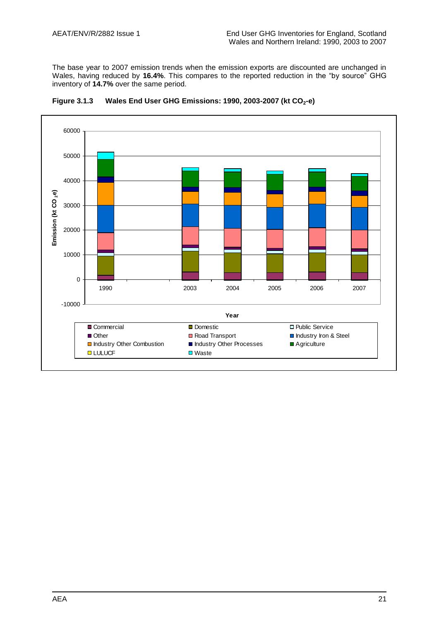The base year to 2007 emission trends when the emission exports are discounted are unchanged in Wales, having reduced by **16.4%**. This compares to the reported reduction in the "by source" GHG inventory of **14.7%** over the same period.



**Figure 3.1.3 Wales End User GHG Emissions: 1990, 2003-2007 (kt CO2-e)**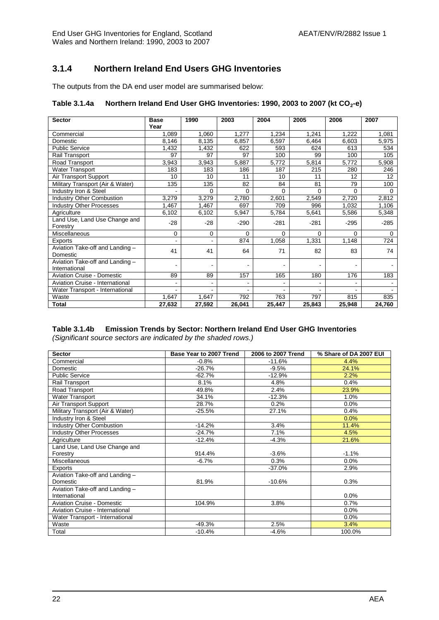### **3.1.4 Northern Ireland End Users GHG Inventories**

The outputs from the DA end user model are summarised below:

### **Table 3.1.4a Northern Ireland End User GHG Inventories: 1990, 2003 to 2007 (kt CO2-e)**

| <b>Sector</b>                     | <b>Base</b>    | 1990   | 2003     | 2004     | 2005   | 2006     | 2007     |
|-----------------------------------|----------------|--------|----------|----------|--------|----------|----------|
|                                   | Year           |        |          |          |        |          |          |
| Commercial                        | 1,089          | 1,060  | 1,277    | 1,234    | 1,241  | 1,222    | 1,081    |
| Domestic                          | 8,146          | 8,135  | 6,857    | 6,597    | 6,464  | 6,603    | 5,975    |
| <b>Public Service</b>             | 1,432          | 1,432  | 622      | 593      | 624    | 613      | 534      |
| Rail Transport                    | 97             | 97     | 97       | 100      | 99     | 100      | 105      |
| Road Transport                    | 3,943          | 3,943  | 5,887    | 5,772    | 5,814  | 5,772    | 5,908    |
| <b>Water Transport</b>            | 183            | 183    | 186      | 187      | 215    | 280      | 246      |
| Air Transport Support             | 10             | 10     | 11       | 10       | 11     | 12       | 12       |
| Military Transport (Air & Water)  | 135            | 135    | 82       | 84       | 81     | 79       | 100      |
| Industry Iron & Steel             |                | 0      | $\Omega$ | 0        | 0      | $\Omega$ | $\Omega$ |
| <b>Industry Other Combustion</b>  | 3,279          | 3,279  | 2,780    | 2,601    | 2,549  | 2,720    | 2,812    |
| <b>Industry Other Processes</b>   | 1,467          | 1,467  | 697      | 709      | 996    | 1,032    | 1,106    |
| Agriculture                       | 6,102          | 6,102  | 5,947    | 5,784    | 5,641  | 5,586    | 5,348    |
| Land Use, Land Use Change and     | $-28$          | $-28$  | $-290$   | $-281$   | $-281$ | $-295$   | $-285$   |
| Forestry                          |                |        |          |          |        |          |          |
| Miscellaneous                     | 0              | 0      | $\Omega$ | $\Omega$ | 0      | $\Omega$ | $\Omega$ |
| Exports                           | $\overline{a}$ |        | 874      | 1,058    | 1,331  | 1,148    | 724      |
| Aviation Take-off and Landing -   | 41             | 41     | 64       | 71       | 82     | 83       | 74       |
| Domestic                          |                |        |          |          |        |          |          |
| Aviation Take-off and Landing -   |                |        |          |          |        |          |          |
| International                     |                |        |          |          |        |          |          |
| <b>Aviation Cruise - Domestic</b> | 89             | 89     | 157      | 165      | 180    | 176      | 183      |
| Aviation Cruise - International   |                |        |          |          | ۰      |          |          |
| Water Transport - International   |                |        |          |          |        |          |          |
| Waste                             | 1,647          | 1,647  | 792      | 763      | 797    | 815      | 835      |
| <b>Total</b>                      | 27,632         | 27,592 | 26,041   | 25,447   | 25,843 | 25,948   | 24,760   |

### **Table 3.1.4b Emission Trends by Sector: Northern Ireland End User GHG Inventories**

*(Significant source sectors are indicated by the shaded rows.)*

| <b>Sector</b>                     | Base Year to 2007 Trend | 2006 to 2007 Trend | % Share of DA 2007 EUI |
|-----------------------------------|-------------------------|--------------------|------------------------|
| Commercial                        | $-0.8%$                 | $-11.6%$           | 4.4%                   |
| Domestic                          | $-26.7%$                | $-9.5%$            | 24.1%                  |
| <b>Public Service</b>             | $-62.7\%$               | $-12.9%$           | 2.2%                   |
| Rail Transport                    | 8.1%                    | 4.8%               | 0.4%                   |
| Road Transport                    | 49.8%                   | 2.4%               | 23.9%                  |
| Water Transport                   | 34.1%                   | $-12.3%$           | 1.0%                   |
| Air Transport Support             | 28.7%                   | 0.2%               | 0.0%                   |
| Military Transport (Air & Water)  | $-25.5%$                | 27.1%              | 0.4%                   |
| Industry Iron & Steel             |                         |                    | 0.0%                   |
| <b>Industry Other Combustion</b>  | $-14.2%$                | 3.4%               | 11.4%                  |
| <b>Industry Other Processes</b>   | $-24.7%$                | 7.1%               | 4.5%                   |
| Agriculture                       | $-12.4%$                | $-4.3%$            | 21.6%                  |
| Land Use, Land Use Change and     |                         |                    |                        |
| Forestry                          | 914.4%                  | $-3.6%$            | $-1.1%$                |
| <b>Miscellaneous</b>              | $-6.7%$                 | 0.3%               | 0.0%                   |
| Exports                           |                         | $-37.0%$           | 2.9%                   |
| Aviation Take-off and Landing -   |                         |                    |                        |
| Domestic                          | 81.9%                   | $-10.6%$           | 0.3%                   |
| Aviation Take-off and Landing -   |                         |                    |                        |
| International                     |                         |                    | 0.0%                   |
| <b>Aviation Cruise - Domestic</b> | 104.9%                  | 3.8%               | 0.7%                   |
| Aviation Cruise - International   |                         |                    | 0.0%                   |
| Water Transport - International   |                         |                    | 0.0%                   |
| Waste                             | $-49.3%$                | 2.5%               | 3.4%                   |
| Total                             | $-10.4%$                | $-4.6%$            | 100.0%                 |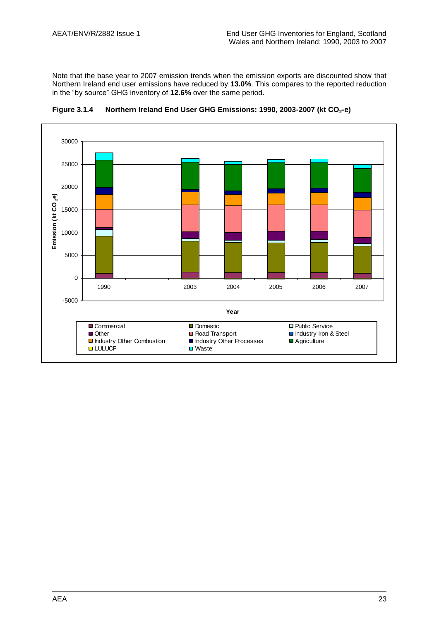Note that the base year to 2007 emission trends when the emission exports are discounted show that Northern Ireland end user emissions have reduced by **13.0%**. This compares to the reported reduction in the "by source" GHG inventory of **12.6%** over the same period.



**Figure 3.1.4 Northern Ireland End User GHG Emissions: 1990, 2003-2007 (kt CO2-e)**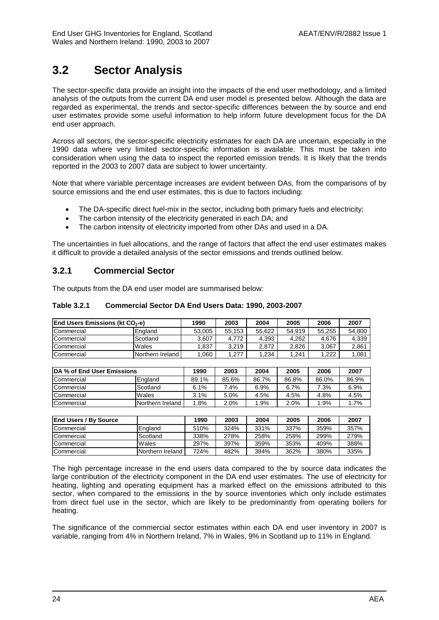# <span id="page-35-0"></span>**3.2 Sector Analysis**

The sector-specific data provide an insight into the impacts of the end user methodology, and a limited analysis of the outputs from the current DA end user model is presented below. Although the data are regarded as experimental, the trends and sector-specific differences between the by source and end user estimates provide some useful information to help inform future development focus for the DA end user approach.

Across all sectors, the sector-specific electricity estimates for each DA are uncertain, especially in the 1990 data where very limited sector-specific information is available. This must be taken into consideration when using the data to inspect the reported emission trends. It is likely that the trends reported in the 2003 to 2007 data are subject to lower uncertainty.

Note that where variable percentage increases are evident between DAs, from the comparisons of by source emissions and the end user estimates, this is due to factors including:

- The DA-specific direct fuel-mix in the sector, including both primary fuels and electricity;
- The carbon intensity of the electricity generated in each DA; and
- The carbon intensity of electricity imported from other DAs and used in a DA.

The uncertainties in fuel allocations, and the range of factors that affect the end user estimates makes it difficult to provide a detailed analysis of the sector emissions and trends outlined below.

### **3.2.1 Commercial Sector**

The outputs from the DA end user model are summarised below:

### **Table 3.2.1 Commercial Sector DA End Users Data: 1990, 2003-2007**

| <b>End Users Emissions (kt CO<sub>2</sub>-e)</b> |                  | 1990   | 2003   | 2004   | 2005   | 2006   | 2007   |
|--------------------------------------------------|------------------|--------|--------|--------|--------|--------|--------|
| Commercial                                       | England          | 53.005 | 55.153 | 55.622 | 54.919 | 55.255 | 54.800 |
| Commercial                                       | Scotland         | 3.607  | 4.772  | 4.393  | 4.262  | 4.676  | 4,339  |
| <b>Commercial</b>                                | Wales            | .837   | 3.219  | 2.872  | 2.826  | 3.067  | 2,861  |
| Commercial                                       | Northern Ireland | .060   | .277   | 1.234  | 1.241  | 1.222  | 1.081  |

| <b>IDA % of End User Emissions</b> |                  | 1990  | 2003    | 2004    | 2005  | 2006  | 2007   |
|------------------------------------|------------------|-------|---------|---------|-------|-------|--------|
| Commercial                         | England          | 89.1% | 85.6%   | 86.7%   | 86.8% | 86.0% | 86.9%  |
| Commercial                         | Scotland         | 6.1%  | $.4\%$  | 6.9%    | 6.7%  | 7.3%  | 6.9%   |
| Commercial                         | Wales            | 3.1%  | 5.0%    | 4.5%    | 4.5%  | 4.8%  | 4.5%   |
| Commercial                         | Northern Ireland | .8%   | $2.0\%$ | $1.9\%$ | 2.0%  | 1.9%  | $.7\%$ |

| <b>End Users / By Source</b> |                  | 1990 | 2003 | 2004 | 2005 | 2006 | 2007 |
|------------------------------|------------------|------|------|------|------|------|------|
| Commercial                   | England          | 510% | 324% | 331% | 337% | 359% | 357% |
| Commercial                   | Scotland         | 338% | 278% | 258% | 258% | 299% | 279% |
| Commercial                   | Wales            | 297% | 397% | 359% | 353% | 409% | 388% |
| Commercial                   | Northern Ireland | 724% | 482% | 384% | 362% | 380% | 335% |

The high percentage increase in the end users data compared to the by source data indicates the large contribution of the electricity component in the DA end user estimates. The use of electricity for heating, lighting and operating equipment has a marked effect on the emissions attributed to this sector, when compared to the emissions in the by source inventories which only include estimates from direct fuel use in the sector, which are likely to be predominantly from operating boilers for heating.

The significance of the commercial sector estimates within each DA end user inventory in 2007 is variable, ranging from 4% in Northern Ireland, 7% in Wales, 9% in Scotland up to 11% in England.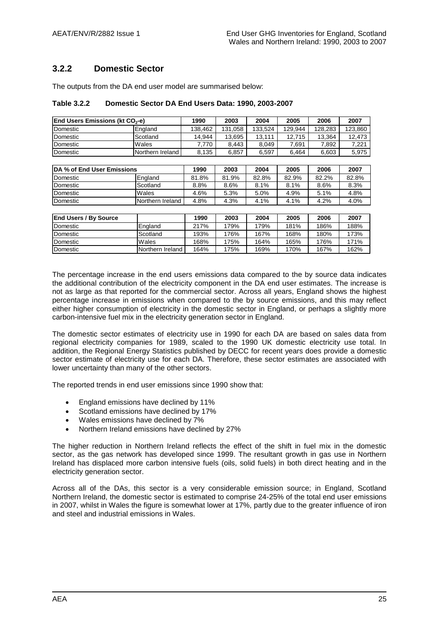### **3.2.2 Domestic Sector**

The outputs from the DA end user model are summarised below:

| Table 3.2.2 | Domestic Sector DA End Users Data: 1990, 2003-2007 |
|-------------|----------------------------------------------------|
|-------------|----------------------------------------------------|

| IEnd Users Emissions (kt CO <sub>?</sub> -e) |                  | 1990    | 2003    | 2004    | 2005    | 2006    | 2007    |
|----------------------------------------------|------------------|---------|---------|---------|---------|---------|---------|
| Domestic                                     | England          | 138.462 | 131.058 | 133.524 | 129.944 | 128.283 | 123.860 |
| Domestic                                     | Scotland         | 14.944  | 13.695  | 13.111  | 12.715  | 13.364  | 12.473  |
| Domestic                                     | Wales            | .770    | 8.443   | 8.049   | 7.691   | 7.892   | 7.221   |
| Domestic                                     | Northern Ireland | 8,135   | 6.857   | 6.597   | 6.464   | 6.603   | 5,975   |

| <b>IDA % of End User Emissions</b> |                  | 1990  | 2003  | 2004  | 2005  | 2006  | 2007  |
|------------------------------------|------------------|-------|-------|-------|-------|-------|-------|
| Domestic                           | England          | 81.8% | 81.9% | 82.8% | 82.9% | 82.2% | 82.8% |
| Domestic                           | Scotland         | 8.8%  | 8.6%  | 8.1%  | 8.1%  | 8.6%  | 8.3%  |
| Domestic                           | Wales            | 4.6%  | 5.3%  | 5.0%  | 4.9%  | 5.1%  | 4.8%  |
| Domestic                           | Northern Ireland | 4.8%  | 4.3%  | 4.1%  | 4.1%  | 4.2%  | 4.0%  |

| <b>End Users / By Source</b> |                  | 1990 | 2003 | 2004 | 2005 | 2006 | 2007 |
|------------------------------|------------------|------|------|------|------|------|------|
| Domestic                     | England          | 217% | 179% | 179% | 181% | 186% | 188% |
| <b>Domestic</b>              | Scotland         | 193% | 176% | 167% | 168% | 180% | 173% |
| <b>Domestic</b>              | Wales            | 168% | 175% | 164% | 165% | 176% | 171% |
| <b>Domestic</b>              | Northern Ireland | 164% | 175% | 169% | 170% | 167% | 162% |

The percentage increase in the end users emissions data compared to the by source data indicates the additional contribution of the electricity component in the DA end user estimates. The increase is not as large as that reported for the commercial sector. Across all years, England shows the highest percentage increase in emissions when compared to the by source emissions, and this may reflect either higher consumption of electricity in the domestic sector in England, or perhaps a slightly more carbon-intensive fuel mix in the electricity generation sector in England.

The domestic sector estimates of electricity use in 1990 for each DA are based on sales data from regional electricity companies for 1989, scaled to the 1990 UK domestic electricity use total. In addition, the Regional Energy Statistics published by DECC for recent years does provide a domestic sector estimate of electricity use for each DA. Therefore, these sector estimates are associated with lower uncertainty than many of the other sectors.

The reported trends in end user emissions since 1990 show that:

- England emissions have declined by 11%
- Scotland emissions have declined by 17%
- Wales emissions have declined by 7%
- Northern Ireland emissions have declined by 27%

The higher reduction in Northern Ireland reflects the effect of the shift in fuel mix in the domestic sector, as the gas network has developed since 1999. The resultant growth in gas use in Northern Ireland has displaced more carbon intensive fuels (oils, solid fuels) in both direct heating and in the electricity generation sector.

Across all of the DAs, this sector is a very considerable emission source; in England, Scotland Northern Ireland, the domestic sector is estimated to comprise 24-25% of the total end user emissions in 2007, whilst in Wales the figure is somewhat lower at 17%, partly due to the greater influence of iron and steel and industrial emissions in Wales.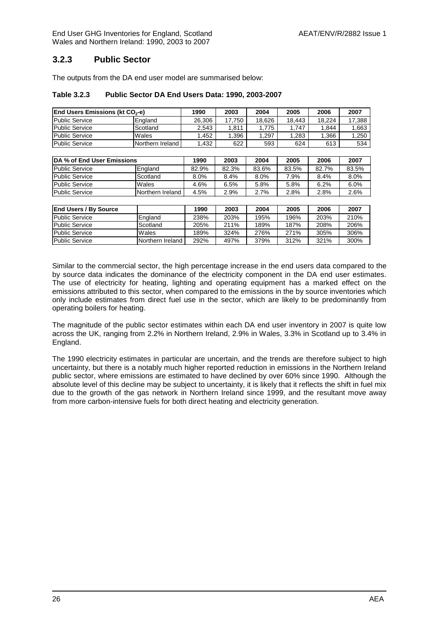End User GHG Inventories for England, Scotland AEAT/ENV/R/2882 Issue 1 Wales and Northern Ireland: 1990, 2003 to 2007

### **3.2.3 Public Sector**

The outputs from the DA end user model are summarised below:

#### **Table 3.2.3 Public Sector DA End Users Data: 1990, 2003-2007**

| End Users Emissions (kt CO <sub>2</sub> -e) |                  | 1990   | 2003   | 2004   | 2005   | 2006   | 2007    |
|---------------------------------------------|------------------|--------|--------|--------|--------|--------|---------|
| <b>Public Service</b>                       | England          | 26.306 | 17.750 | 18.626 | 18.443 | 18.224 | 17.388  |
| <b>Public Service</b>                       | Scotland         | 2,543  | 1,811  | 1.775  | 1,747  | 1,844  | 1,663   |
| <b>Public Service</b>                       | Wales            | 1,452  | 1,396  | 1,297  | 1,283  | 1,366  | 1,250   |
| <b>Public Service</b>                       | Northern Ireland | 1,432  | 622    | 593    | 624    | 613    | 534     |
|                                             |                  |        |        |        |        |        |         |
| DA % of End User Emissions                  |                  | 1990   | 2003   | 2004   | 2005   | 2006   | 2007    |
| <b>Public Service</b>                       | England          | 82.9%  | 82.3%  | 83.6%  | 83.5%  | 82.7%  | 83.5%   |
| <b>Public Service</b>                       | Scotland         | 8.0%   | 8.4%   | 8.0%   | 7.9%   | 8.4%   | $8.0\%$ |
| <b>Public Service</b>                       | Wales            | 4.6%   | 6.5%   | 5.8%   | 5.8%   | 6.2%   | 6.0%    |
| <b>Public Service</b>                       | Northern Ireland | 4.5%   | 2.9%   | 2.7%   | 2.8%   | 2.8%   | 2.6%    |
|                                             |                  |        |        |        |        |        |         |
| <b>End Users / By Source</b>                |                  | 1990   | 2003   | 2004   | 2005   | 2006   | 2007    |
| <b>Public Service</b>                       | England          | 238%   | 203%   | 195%   | 196%   | 203%   | 210%    |
| <b>Public Service</b>                       | Scotland         | 205%   | 211%   | 189%   | 187%   | 208%   | 206%    |
| <b>Public Service</b>                       | Wales            | 189%   | 324%   | 276%   | 271%   | 305%   | 306%    |
| <b>Public Service</b>                       | Northern Ireland | 292%   | 497%   | 379%   | 312%   | 321%   | 300%    |

Similar to the commercial sector, the high percentage increase in the end users data compared to the by source data indicates the dominance of the electricity component in the DA end user estimates. The use of electricity for heating, lighting and operating equipment has a marked effect on the emissions attributed to this sector, when compared to the emissions in the by source inventories which only include estimates from direct fuel use in the sector, which are likely to be predominantly from operating boilers for heating.

The magnitude of the public sector estimates within each DA end user inventory in 2007 is quite low across the UK, ranging from 2.2% in Northern Ireland, 2.9% in Wales, 3.3% in Scotland up to 3.4% in England.

The 1990 electricity estimates in particular are uncertain, and the trends are therefore subject to high uncertainty, but there is a notably much higher reported reduction in emissions in the Northern Ireland public sector, where emissions are estimated to have declined by over 60% since 1990. Although the absolute level of this decline may be subject to uncertainty, it is likely that it reflects the shift in fuel mix due to the growth of the gas network in Northern Ireland since 1999, and the resultant move away from more carbon-intensive fuels for both direct heating and electricity generation.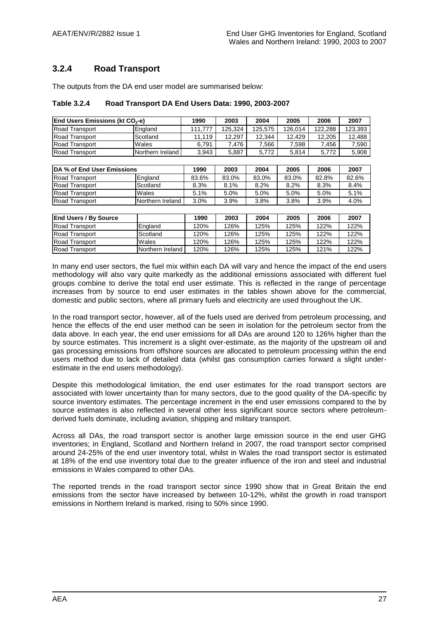### **3.2.4 Road Transport**

The outputs from the DA end user model are summarised below:

| Table 3.2.4 | Road Transport DA End Users Data: 1990, 2003-2007 |
|-------------|---------------------------------------------------|
|-------------|---------------------------------------------------|

| <b>End Users Emissions (kt CO<sub>2</sub>-e)</b> |                  | 1990    | 2003    | 2004    | 2005    | 2006    | 2007    |
|--------------------------------------------------|------------------|---------|---------|---------|---------|---------|---------|
| <b>Road Transport</b>                            | England          | 111.777 | 125.324 | 125.575 | 126.014 | 122.288 | 123.393 |
| <b>Road Transport</b>                            | Scotland         | 11.119  | 12.297  | 12.344  | 12.429  | 12.205  | 12.488  |
| <b>Road Transport</b>                            | Wales            | 6.791   | .476    | 7.566   | 7.598   | .456    | 7,590   |
| <b>Road Transport</b>                            | Northern Ireland | 3.943   | 5,887   | 5.772   | 5.814   | 5.772   | 5,908   |

| <b>IDA % of End User Emissions</b> |                  | 1990    | 2003  | 2004  | 2005  | 2006  | 2007  |
|------------------------------------|------------------|---------|-------|-------|-------|-------|-------|
| <b>Road Transport</b>              | <b>England</b>   | 83.6%   | 83.0% | 83.0% | 83.0% | 82.8% | 82.6% |
| <b>Road Transport</b>              | Scotland         | 8.3%    | 8.1%  | 8.2%  | 8.2%  | 8.3%  | 8.4%  |
| <b>Road Transport</b>              | Wales            | 5.1%    | 5.0%  | 5.0%  | 5.0%  | 5.0%  | 5.1%  |
| <b>Road Transport</b>              | Northern Ireland | $3.0\%$ | 3.9%  | 3.8%  | 3.8%  | 3.9%  | 4.0%  |

| <b>End Users / By Source</b> |                  | 1990 | 2003 | 2004 | 2005 | 2006 | 2007 |
|------------------------------|------------------|------|------|------|------|------|------|
| <b>Road Transport</b>        | England          | 120% | 126% | 125% | 125% | 122% | 122% |
| <b>Road Transport</b>        | Scotland         | 120% | 126% | 125% | 125% | 122% | 122% |
| <b>Road Transport</b>        | Wales            | 120% | 126% | 125% | 125% | 122% | 122% |
| <b>Road Transport</b>        | Northern Ireland | 120% | 126% | 125% | 125% | 121% | 122% |

In many end user sectors, the fuel mix within each DA will vary and hence the impact of the end users methodology will also vary quite markedly as the additional emissions associated with different fuel groups combine to derive the total end user estimate. This is reflected in the range of percentage increases from by source to end user estimates in the tables shown above for the commercial, domestic and public sectors, where all primary fuels and electricity are used throughout the UK.

In the road transport sector, however, all of the fuels used are derived from petroleum processing, and hence the effects of the end user method can be seen in isolation for the petroleum sector from the data above. In each year, the end user emissions for all DAs are around 120 to 126% higher than the by source estimates. This increment is a slight over-estimate, as the majority of the upstream oil and gas processing emissions from offshore sources are allocated to petroleum processing within the end users method due to lack of detailed data (whilst gas consumption carries forward a slight underestimate in the end users methodology).

Despite this methodological limitation, the end user estimates for the road transport sectors are associated with lower uncertainty than for many sectors, due to the good quality of the DA-specific by source inventory estimates. The percentage increment in the end user emissions compared to the by source estimates is also reflected in several other less significant source sectors where petroleumderived fuels dominate, including aviation, shipping and military transport.

Across all DAs, the road transport sector is another large emission source in the end user GHG inventories; in England, Scotland and Northern Ireland in 2007, the road transport sector comprised around 24-25% of the end user inventory total, whilst in Wales the road transport sector is estimated at 18% of the end use inventory total due to the greater influence of the iron and steel and industrial emissions in Wales compared to other DAs.

The reported trends in the road transport sector since 1990 show that in Great Britain the end emissions from the sector have increased by between 10-12%, whilst the growth in road transport emissions in Northern Ireland is marked, rising to 50% since 1990.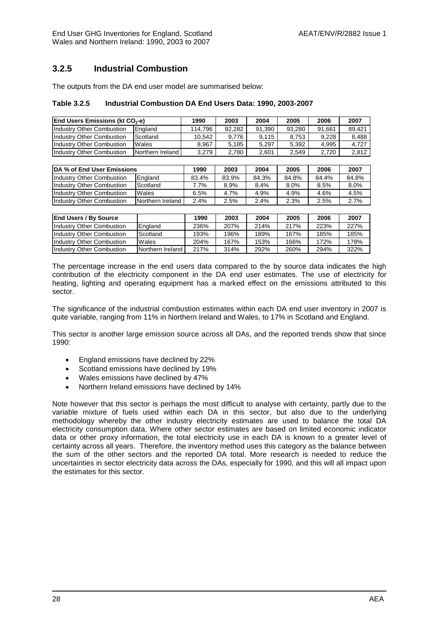### **3.2.5 Industrial Combustion**

The outputs from the DA end user model are summarised below:

#### **Table 3.2.5 Industrial Combustion DA End Users Data: 1990, 2003-2007**

| <b>End Users Emissions (kt CO<sub>2</sub>-e)</b> |                  | 1990    | 2003   | 2004   | 2005   | 2006   | 2007   |
|--------------------------------------------------|------------------|---------|--------|--------|--------|--------|--------|
| Industry Other Combustion                        | England          | 114.796 | 92.282 | 91.390 | 93.280 | 91.661 | 89.421 |
| Industry Other Combustion                        | Scotland         | 10.542  | 9.776  | 9.115  | 8.753  | 9.228  | 8.488  |
| Industry Other Combustion                        | Wales            | 8.967   | 5.185  | 5.297  | 5.392  | 4.995  | 4.727  |
| Industry Other Combustion                        | Northern Ireland | 3.279   | 2.780  | 2.601  | 2.549  | 2.720  | 2.812  |

| DA % of End User Emissions       |                  | 1990  | 2003  | 2004  | 2005    | 2006  | 2007    |
|----------------------------------|------------------|-------|-------|-------|---------|-------|---------|
| <b>Industry Other Combustion</b> | England          | 83.4% | 83.9% | 84.3% | 84.8%   | 84.4% | 84.8%   |
| <b>Industry Other Combustion</b> | Scotland         | 7.7%  | 8.9%  | 8.4%  | $8.0\%$ | 8.5%  | $8.0\%$ |
| Industry Other Combustion        | Wales            | 6.5%  | 4.7%  | 4.9%  | 4.9%    | 4.6%  | 4.5%    |
| <b>Industry Other Combustion</b> | Northern Ireland | 2.4%  | 2.5%  | 2.4%  | 2.3%    | 2.5%  | 2.7%    |

| <b>End Users / By Source</b>     |                  | 1990 | 2003 | 2004 | 2005 | 2006 | 2007 |
|----------------------------------|------------------|------|------|------|------|------|------|
| <b>Industry Other Combustion</b> | England          | 236% | 207% | 214% | 217% | 223% | 227% |
| <b>Industry Other Combustion</b> | Scotland         | 193% | 196% | 189% | 167% | 185% | 185% |
| <b>Industry Other Combustion</b> | Wales            | 204% | 167% | 153% | 166% | 172% | 178% |
| <b>Industry Other Combustion</b> | Northern Ireland | 217% | 314% | 292% | 260% | 294% | 322% |

The percentage increase in the end users data compared to the by source data indicates the high contribution of the electricity component in the DA end user estimates. The use of electricity for heating, lighting and operating equipment has a marked effect on the emissions attributed to this sector.

The significance of the industrial combustion estimates within each DA end user inventory in 2007 is quite variable, ranging from 11% in Northern Ireland and Wales, to 17% in Scotland and England.

This sector is another large emission source across all DAs, and the reported trends show that since 1990:

- **England emissions have declined by 22%**
- Scotland emissions have declined by 19%
- Wales emissions have declined by 47%
- Northern Ireland emissions have declined by 14%

Note however that this sector is perhaps the most difficult to analyse with certainty, partly due to the variable mixture of fuels used within each DA in this sector, but also due to the underlying methodology whereby the other industry electricity estimates are used to balance the total DA electricity consumption data. Where other sector estimates are based on limited economic indicator data or other proxy information, the total electricity use in each DA is known to a greater level of certainty across all years. Therefore, the inventory method uses this category as the balance between the sum of the other sectors and the reported DA total. More research is needed to reduce the uncertainties in sector electricity data across the DAs, especially for 1990, and this will all impact upon the estimates for this sector.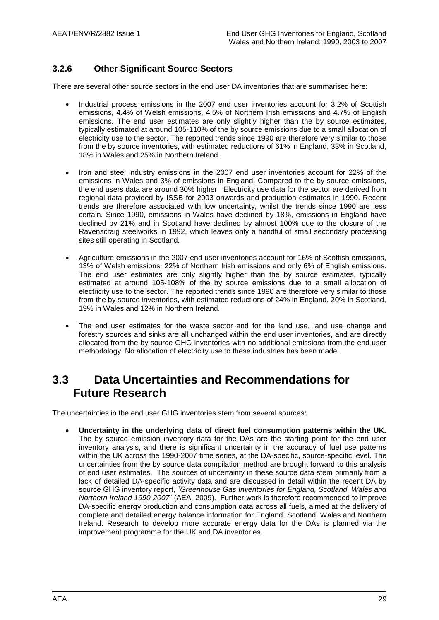### **3.2.6 Other Significant Source Sectors**

There are several other source sectors in the end user DA inventories that are summarised here:

- Industrial process emissions in the 2007 end user inventories account for 3.2% of Scottish emissions, 4.4% of Welsh emissions, 4.5% of Northern Irish emissions and 4.7% of English emissions. The end user estimates are only slightly higher than the by source estimates, typically estimated at around 105-110% of the by source emissions due to a small allocation of electricity use to the sector. The reported trends since 1990 are therefore very similar to those from the by source inventories, with estimated reductions of 61% in England, 33% in Scotland, 18% in Wales and 25% in Northern Ireland.
- Iron and steel industry emissions in the 2007 end user inventories account for 22% of the emissions in Wales and 3% of emissions in England. Compared to the by source emissions, the end users data are around 30% higher. Electricity use data for the sector are derived from regional data provided by ISSB for 2003 onwards and production estimates in 1990. Recent trends are therefore associated with low uncertainty, whilst the trends since 1990 are less certain. Since 1990, emissions in Wales have declined by 18%, emissions in England have declined by 21% and in Scotland have declined by almost 100% due to the closure of the Ravenscraig steelworks in 1992, which leaves only a handful of small secondary processing sites still operating in Scotland.
- Agriculture emissions in the 2007 end user inventories account for 16% of Scottish emissions, 13% of Welsh emissions, 22% of Northern Irish emissions and only 6% of English emissions. The end user estimates are only slightly higher than the by source estimates, typically estimated at around 105-108% of the by source emissions due to a small allocation of electricity use to the sector. The reported trends since 1990 are therefore very similar to those from the by source inventories, with estimated reductions of 24% in England, 20% in Scotland, 19% in Wales and 12% in Northern Ireland.
- The end user estimates for the waste sector and for the land use, land use change and forestry sources and sinks are all unchanged within the end user inventories, and are directly allocated from the by source GHG inventories with no additional emissions from the end user methodology. No allocation of electricity use to these industries has been made.

### <span id="page-40-0"></span>**3.3 Data Uncertainties and Recommendations for Future Research**

The uncertainties in the end user GHG inventories stem from several sources:

 **Uncertainty in the underlying data of direct fuel consumption patterns within the UK.** The by source emission inventory data for the DAs are the starting point for the end user inventory analysis, and there is significant uncertainty in the accuracy of fuel use patterns within the UK across the 1990-2007 time series, at the DA-specific, source-specific level. The uncertainties from the by source data compilation method are brought forward to this analysis of end user estimates. The sources of uncertainty in these source data stem primarily from a lack of detailed DA-specific activity data and are discussed in detail within the recent DA by source GHG inventory report, "*Greenhouse Gas Inventories for England, Scotland, Wales and Northern Ireland 1990-2007*" (AEA, 2009). Further work is therefore recommended to improve DA-specific energy production and consumption data across all fuels, aimed at the delivery of complete and detailed energy balance information for England, Scotland, Wales and Northern Ireland. Research to develop more accurate energy data for the DAs is planned via the improvement programme for the UK and DA inventories.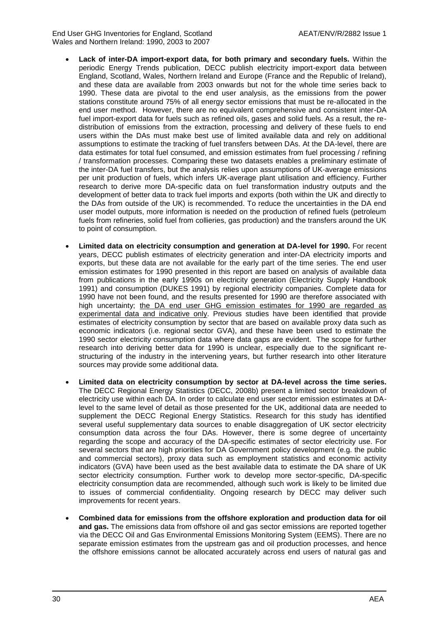- **Lack of inter-DA import-export data, for both primary and secondary fuels.** Within the periodic Energy Trends publication, DECC publish electricity import-export data between England, Scotland, Wales, Northern Ireland and Europe (France and the Republic of Ireland), and these data are available from 2003 onwards but not for the whole time series back to 1990. These data are pivotal to the end user analysis, as the emissions from the power stations constitute around 75% of all energy sector emissions that must be re-allocated in the end user method. However, there are no equivalent comprehensive and consistent inter-DA fuel import-export data for fuels such as refined oils, gases and solid fuels. As a result, the redistribution of emissions from the extraction, processing and delivery of these fuels to end users within the DAs must make best use of limited available data and rely on additional assumptions to estimate the tracking of fuel transfers between DAs. At the DA-level, there are data estimates for total fuel consumed, and emission estimates from fuel processing / refining / transformation processes. Comparing these two datasets enables a preliminary estimate of the inter-DA fuel transfers, but the analysis relies upon assumptions of UK-average emissions per unit production of fuels, which infers UK-average plant utilisation and efficiency. Further research to derive more DA-specific data on fuel transformation industry outputs and the development of better data to track fuel imports and exports (both within the UK and directly to the DAs from outside of the UK) is recommended. To reduce the uncertainties in the DA end user model outputs, more information is needed on the production of refined fuels (petroleum fuels from refineries, solid fuel from collieries, gas production) and the transfers around the UK to point of consumption.
- **Limited data on electricity consumption and generation at DA-level for 1990.** For recent years, DECC publish estimates of electricity generation and inter-DA electricity imports and exports, but these data are not available for the early part of the time series. The end user emission estimates for 1990 presented in this report are based on analysis of available data from publications in the early 1990s on electricity generation (Electricity Supply Handbook 1991) and consumption (DUKES 1991) by regional electricity companies. Complete data for 1990 have not been found, and the results presented for 1990 are therefore associated with high uncertainty; the DA end user GHG emission estimates for 1990 are regarded as experimental data and indicative only. Previous studies have been identified that provide estimates of electricity consumption by sector that are based on available proxy data such as economic indicators (i.e. regional sector GVA), and these have been used to estimate the 1990 sector electricity consumption data where data gaps are evident. The scope for further research into deriving better data for 1990 is unclear, especially due to the significant restructuring of the industry in the intervening years, but further research into other literature sources may provide some additional data.
- **Limited data on electricity consumption by sector at DA-level across the time series.**  The DECC Regional Energy Statistics (DECC, 2008b) present a limited sector breakdown of electricity use within each DA. In order to calculate end user sector emission estimates at DAlevel to the same level of detail as those presented for the UK, additional data are needed to supplement the DECC Regional Energy Statistics. Research for this study has identified several useful supplementary data sources to enable disaggregation of UK sector electricity consumption data across the four DAs. However, there is some degree of uncertainty regarding the scope and accuracy of the DA-specific estimates of sector electricity use. For several sectors that are high priorities for DA Government policy development (e.g. the public and commercial sectors), proxy data such as employment statistics and economic activity indicators (GVA) have been used as the best available data to estimate the DA share of UK sector electricity consumption. Further work to develop more sector-specific, DA-specific electricity consumption data are recommended, although such work is likely to be limited due to issues of commercial confidentiality. Ongoing research by DECC may deliver such improvements for recent years.
- **Combined data for emissions from the offshore exploration and production data for oil and gas.** The emissions data from offshore oil and gas sector emissions are reported together via the DECC Oil and Gas Environmental Emissions Monitoring System (EEMS). There are no separate emission estimates from the upstream gas and oil production processes, and hence the offshore emissions cannot be allocated accurately across end users of natural gas and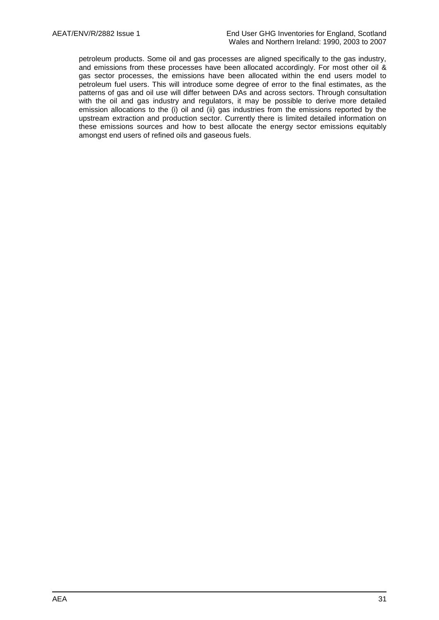petroleum products. Some oil and gas processes are aligned specifically to the gas industry, and emissions from these processes have been allocated accordingly. For most other oil & gas sector processes, the emissions have been allocated within the end users model to petroleum fuel users. This will introduce some degree of error to the final estimates, as the patterns of gas and oil use will differ between DAs and across sectors. Through consultation with the oil and gas industry and regulators, it may be possible to derive more detailed emission allocations to the (i) oil and (ii) gas industries from the emissions reported by the upstream extraction and production sector. Currently there is limited detailed information on these emissions sources and how to best allocate the energy sector emissions equitably amongst end users of refined oils and gaseous fuels.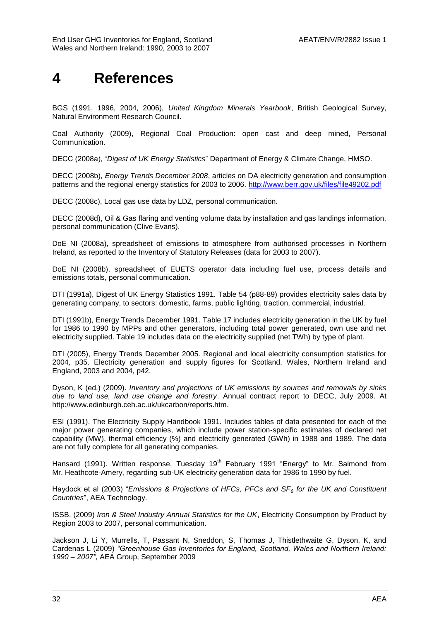# <span id="page-43-0"></span>**4 References**

BGS (1991, 1996, 2004, 2006), *United Kingdom Minerals Yearbook*, British Geological Survey, Natural Environment Research Council.

Coal Authority (2009), Regional Coal Production: open cast and deep mined, Personal Communication.

DECC (2008a), "*Digest of UK Energy Statistics*" Department of Energy & Climate Change, HMSO.

DECC (2008b), *Energy Trends December 2008*, articles on DA electricity generation and consumption patterns and the regional energy statistics for 2003 to 2006.<http://www.berr.gov.uk/files/file49202.pdf>

DECC (2008c), Local gas use data by LDZ, personal communication.

DECC (2008d), Oil & Gas flaring and venting volume data by installation and gas landings information, personal communication (Clive Evans).

DoE NI (2008a), spreadsheet of emissions to atmosphere from authorised processes in Northern Ireland, as reported to the Inventory of Statutory Releases (data for 2003 to 2007).

DoE NI (2008b), spreadsheet of EUETS operator data including fuel use, process details and emissions totals, personal communication.

DTI (1991a), Digest of UK Energy Statistics 1991. Table 54 (p88-89) provides electricity sales data by generating company, to sectors: domestic, farms, public lighting, traction, commercial, industrial.

DTI (1991b), Energy Trends December 1991. Table 17 includes electricity generation in the UK by fuel for 1986 to 1990 by MPPs and other generators, including total power generated, own use and net electricity supplied. Table 19 includes data on the electricity supplied (net TWh) by type of plant.

DTI (2005), Energy Trends December 2005. Regional and local electricity consumption statistics for 2004, p35. Electricity generation and supply figures for Scotland, Wales, Northern Ireland and England, 2003 and 2004, p42.

Dyson, K (ed.) (2009). *Inventory and projections of UK emissions by sources and removals by sinks due to land use, land use change and forestry*. Annual contract report to DECC, July 2009. At http://www.edinburgh.ceh.ac.uk/ukcarbon/reports.htm.

ESI (1991). The Electricity Supply Handbook 1991. Includes tables of data presented for each of the major power generating companies, which include power station-specific estimates of declared net capability (MW), thermal efficiency (%) and electricity generated (GWh) in 1988 and 1989. The data are not fully complete for all generating companies.

Hansard (1991). Written response, Tuesday 19<sup>th</sup> February 1991 "Energy" to Mr. Salmond from Mr. Heathcote-Amery, regarding sub-UK electricity generation data for 1986 to 1990 by fuel.

Haydock et al (2003) "*Emissions & Projections of HFCs, PFCs and SF<sup>6</sup> for the UK and Constituent Countries*", AEA Technology.

ISSB, (2009) *Iron & Steel Industry Annual Statistics for the UK*, Electricity Consumption by Product by Region 2003 to 2007, personal communication.

Jackson J, Li Y, Murrells, T, Passant N, Sneddon, S, Thomas J, Thistlethwaite G, Dyson, K, and Cardenas L (2009) *"Greenhouse Gas Inventories for England, Scotland, Wales and Northern Ireland: 1990 – 2007"*, AEA Group, September 2009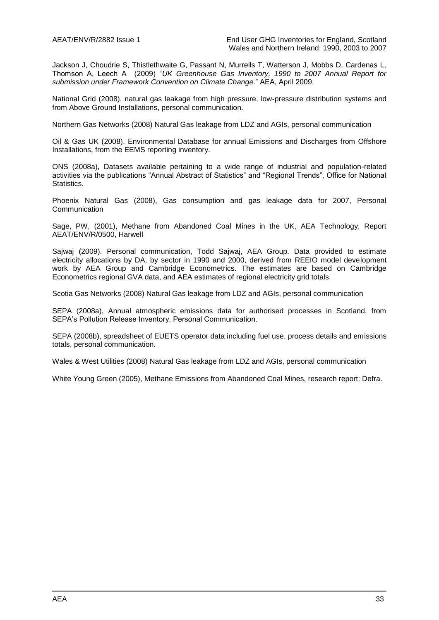Jackson J, Choudrie S, Thistlethwaite G, Passant N, Murrells T, Watterson J, Mobbs D, Cardenas L, Thomson A, Leech A (2009) "*UK Greenhouse Gas Inventory, 1990 to 2007 Annual Report for submission under Framework Convention on Climate Change*." AEA, April 2009.

National Grid (2008), natural gas leakage from high pressure, low-pressure distribution systems and from Above Ground Installations, personal communication.

Northern Gas Networks (2008) Natural Gas leakage from LDZ and AGIs, personal communication

Oil & Gas UK (2008), Environmental Database for annual Emissions and Discharges from Offshore Installations, from the EEMS reporting inventory.

ONS (2008a), Datasets available pertaining to a wide range of industrial and population-related activities via the publications "Annual Abstract of Statistics" and "Regional Trends", Office for National Statistics.

Phoenix Natural Gas (2008), Gas consumption and gas leakage data for 2007, Personal **Communication** 

Sage, PW, (2001), Methane from Abandoned Coal Mines in the UK, AEA Technology, Report AEAT/ENV/R/0500, Harwell

Sajwaj (2009). Personal communication, Todd Sajwaj, AEA Group. Data provided to estimate electricity allocations by DA, by sector in 1990 and 2000, derived from REEIO model development work by AEA Group and Cambridge Econometrics. The estimates are based on Cambridge Econometrics regional GVA data, and AEA estimates of regional electricity grid totals.

Scotia Gas Networks (2008) Natural Gas leakage from LDZ and AGIs, personal communication

SEPA (2008a), Annual atmospheric emissions data for authorised processes in Scotland, from SEPA's Pollution Release Inventory, Personal Communication.

SEPA (2008b), spreadsheet of EUETS operator data including fuel use, process details and emissions totals, personal communication.

Wales & West Utilities (2008) Natural Gas leakage from LDZ and AGIs, personal communication

White Young Green (2005), Methane Emissions from Abandoned Coal Mines, research report: Defra.